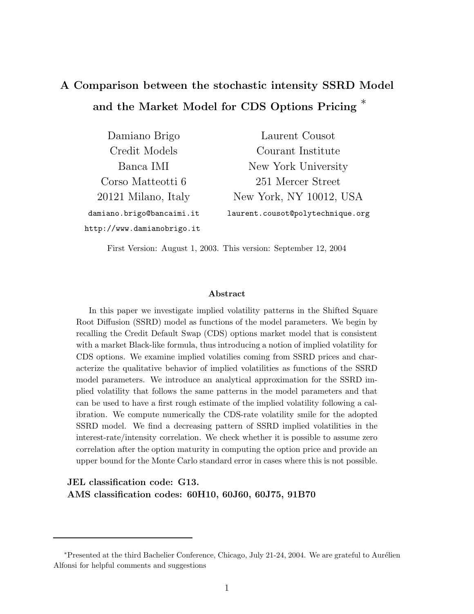# A Comparison between the stochastic intensity SSRD Model and the Market Model for CDS Options Pricing <sup>\*</sup>

| Damiano Brigo              | Laurent Cousot                   |
|----------------------------|----------------------------------|
| Credit Models              | Courant Institute                |
| Banca IMI                  | New York University              |
| Corso Matteotti 6          | 251 Mercer Street                |
| 20121 Milano, Italy        | New York, NY 10012, USA          |
| damiano.brigo@bancaimi.it  | laurent.cousot@polytechnique.org |
| http://www.damianobrigo.it |                                  |

First Version: August 1, 2003. This version: September 12, 2004

#### Abstract

In this paper we investigate implied volatility patterns in the Shifted Square Root Diffusion (SSRD) model as functions of the model parameters. We begin by recalling the Credit Default Swap (CDS) options market model that is consistent with a market Black-like formula, thus introducing a notion of implied volatility for CDS options. We examine implied volatilies coming from SSRD prices and characterize the qualitative behavior of implied volatilities as functions of the SSRD model parameters. We introduce an analytical approximation for the SSRD implied volatility that follows the same patterns in the model parameters and that can be used to have a first rough estimate of the implied volatility following a calibration. We compute numerically the CDS-rate volatility smile for the adopted SSRD model. We find a decreasing pattern of SSRD implied volatilities in the interest-rate/intensity correlation. We check whether it is possible to assume zero correlation after the option maturity in computing the option price and provide an upper bound for the Monte Carlo standard error in cases where this is not possible.

## JEL classification code: G13. AMS classification codes: 60H10, 60J60, 60J75, 91B70

<sup>\*</sup>Presented at the third Bachelier Conference, Chicago, July 21-24, 2004. We are grateful to Aurélien Alfonsi for helpful comments and suggestions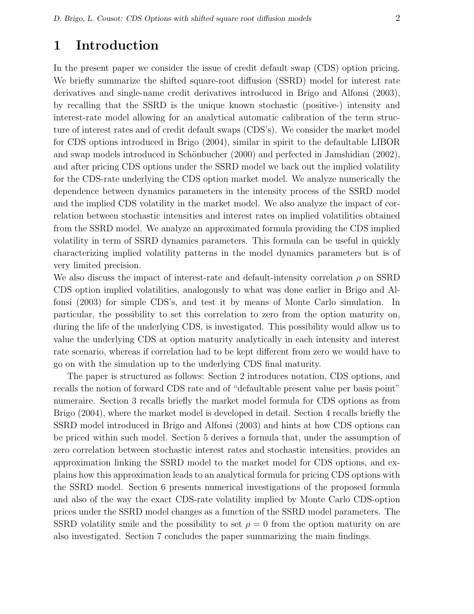# 1 Introduction

In the present paper we consider the issue of credit default swap (CDS) option pricing. We briefly summarize the shifted square-root diffusion (SSRD) model for interest rate derivatives and single-name credit derivatives introduced in Brigo and Alfonsi (2003), by recalling that the SSRD is the unique known stochastic (positive-) intensity and interest-rate model allowing for an analytical automatic calibration of the term structure of interest rates and of credit default swaps (CDS's). We consider the market model for CDS options introduced in Brigo (2004), similar in spirit to the defaultable LIBOR and swap models introduced in Schönbucher  $(2000)$  and perfected in Jamshidian  $(2002)$ , and after pricing CDS options under the SSRD model we back out the implied volatility for the CDS-rate underlying the CDS option market model. We analyze numerically the dependence between dynamics parameters in the intensity process of the SSRD model and the implied CDS volatility in the market model. We also analyze the impact of correlation between stochastic intensities and interest rates on implied volatilities obtained from the SSRD model. We analyze an approximated formula providing the CDS implied volatility in term of SSRD dynamics parameters. This formula can be useful in quickly characterizing implied volatility patterns in the model dynamics parameters but is of very limited precision.

We also discuss the impact of interest-rate and default-intensity correlation  $\rho$  on SSRD CDS option implied volatilities, analogously to what was done earlier in Brigo and Alfonsi (2003) for simple CDS's, and test it by means of Monte Carlo simulation. In particular, the possibility to set this correlation to zero from the option maturity on, during the life of the underlying CDS, is investigated. This possibility would allow us to value the underlying CDS at option maturity analytically in each intensity and interest rate scenario, whereas if correlation had to be kept different from zero we would have to go on with the simulation up to the underlying CDS final maturity.

The paper is structured as follows: Section 2 introduces notation, CDS options, and recalls the notion of forward CDS rate and of "defaultable present value per basis point" numeraire. Section 3 recalls briefly the market model formula for CDS options as from Brigo (2004), where the market model is developed in detail. Section 4 recalls briefly the SSRD model introduced in Brigo and Alfonsi (2003) and hints at how CDS options can be priced within such model. Section 5 derives a formula that, under the assumption of zero correlation between stochastic interest rates and stochastic intensities, provides an approximation linking the SSRD model to the market model for CDS options, and explains how this approximation leads to an analytical formula for pricing CDS options with the SSRD model. Section 6 presents numerical investigations of the proposed formula and also of the way the exact CDS-rate volatility implied by Monte Carlo CDS-option prices under the SSRD model changes as a function of the SSRD model parameters. The SSRD volatility smile and the possibility to set  $\rho = 0$  from the option maturity on are also investigated. Section 7 concludes the paper summarizing the main findings.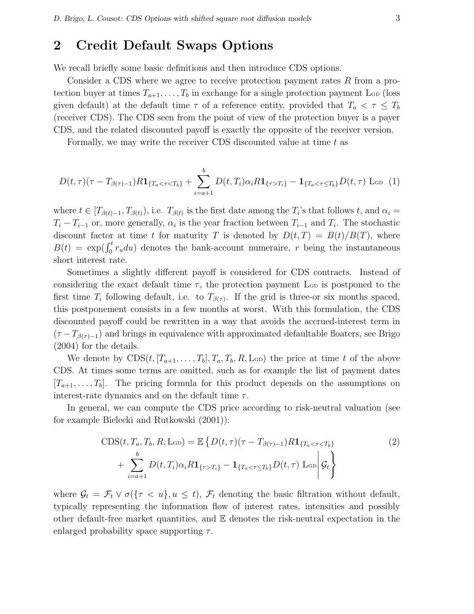# 2 Credit Default Swaps Options

We recall briefly some basic definitions and then introduce CDS options.

Consider a CDS where we agree to receive protection payment rates R from a protection buyer at times  $T_{a+1}, \ldots, T_b$  in exchange for a single protection payment L<sub>GD</sub> (loss given default) at the default time  $\tau$  of a reference entity, provided that  $T_a < \tau \leq T_b$ (receiver CDS). The CDS seen from the point of view of the protection buyer is a payer CDS, and the related discounted payoff is exactly the opposite of the receiver version.

Formally, we may write the receiver CDS discounted value at time t as

$$
D(t,\tau)(\tau - T_{\beta(\tau)-1})R\mathbf{1}_{\{T_a < \tau < T_b\}} + \sum_{i=a+1}^b D(t,T_i)\alpha_i R\mathbf{1}_{\{\tau > T_i\}} - \mathbf{1}_{\{T_a < \tau \le T_b\}}D(t,\tau) \text{Lop (1)}
$$

where  $t \in [T_{\beta(t)-1}, T_{\beta(t)})$ , i.e.  $T_{\beta(t)}$  is the first date among the  $T_i$ 's that follows  $t$ , and  $\alpha_i =$  $T_i - T_{i-1}$  or, more generally,  $\alpha_i$  is the year fraction between  $T_{i-1}$  and  $T_i$ . The stochastic discount factor at time t for maturity T is denoted by  $D(t,T) = B(t)/B(T)$ , where  $B(t) = \exp(\int_0^t r_u du)$  denotes the bank-account numeraire, r being the instantaneous short interest rate.

Sometimes a slightly different payoff is considered for CDS contracts. Instead of considering the exact default time  $\tau$ , the protection payment L<sub>GD</sub> is postponed to the first time  $T_i$  following default, i.e. to  $T_{\beta(\tau)}$ . If the grid is three-or six months spaced, this postponement consists in a few months at worst. With this formulation, the CDS discounted payoff could be rewritten in a way that avoids the accrued-interest term in  $(\tau - T_{\beta(\tau)-1})$  and brings in equivalence with approximated defaultable floaters, see Brigo (2004) for the details.

We denote by  $CDS(t, [T_{a+1}, \ldots, T_b], T_a, T_b, R, L_{GD})$  the price at time t of the above CDS. At times some terms are omitted, such as for example the list of payment dates  $[T_{a+1}, \ldots, T_b]$ . The pricing formula for this product depends on the assumptions on interest-rate dynamics and on the default time  $\tau$ .

In general, we can compute the CDS price according to risk-neutral valuation (see for example Bielecki and Rutkowski (2001)):

$$
CDS(t, T_a, T_b, R, \text{LoD}) = \mathbb{E}\left\{D(t, \tau)(\tau - T_{\beta(\tau)-1})R\mathbf{1}_{\{T_a < \tau < T_b\}}\right\}
$$
\n
$$
+ \sum_{i=a+1}^{b} D(t, T_i)\alpha_i R\mathbf{1}_{\{\tau > T_i\}} - \mathbf{1}_{\{T_a < \tau \le T_b\}}D(t, \tau) \text{LoD}\left|\mathcal{G}_t\right\}
$$
\n
$$
(2)
$$

where  $\mathcal{G}_t = \mathcal{F}_t \vee \sigma(\{\tau < u\}, u \leq t), \mathcal{F}_t$  denoting the basic filtration without default, typically representing the information flow of interest rates, intensities and possibly other default-free market quantities, and E denotes the risk-neutral expectation in the enlarged probability space supporting  $\tau$ .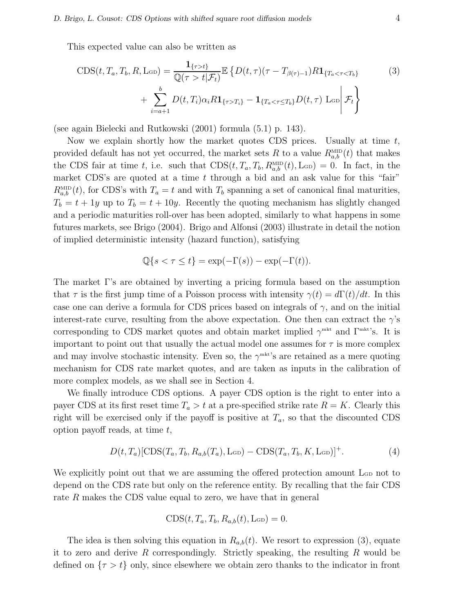This expected value can also be written as

$$
CDS(t, T_a, T_b, R, \text{LoD}) = \frac{\mathbf{1}_{\{\tau > t\}}}{\mathbb{Q}(\tau > t | \mathcal{F}_t)} \mathbb{E} \left\{ D(t, \tau) (\tau - T_{\beta(\tau)-1}) R \mathbf{1}_{\{T_a < \tau < T_b\}} \right\}
$$
\n
$$
+ \sum_{i=a+1}^{b} D(t, T_i) \alpha_i R \mathbf{1}_{\{\tau > T_i\}} - \mathbf{1}_{\{T_a < \tau \le T_b\}} D(t, \tau) \text{LoD} \Big| \mathcal{F}_t \right\}
$$
\n
$$
(3)
$$

(see again Bielecki and Rutkowski (2001) formula (5.1) p. 143).

Now we explain shortly how the market quotes CDS prices. Usually at time  $t$ , provided default has not yet occurred, the market sets R to a value  $R_{a,b}^{\text{MID}}(t)$  that makes the CDS fair at time t, i.e. such that  $CDS(t, T_a, T_b, R_{a,b}^{\text{MD}}(t), L_{GD}) = 0$ . In fact, in the market CDS's are quoted at a time  $t$  through a bid and an ask value for this "fair"  $R_{a,b}^{\text{MID}}(t)$ , for CDS's with  $T_a = t$  and with  $T_b$  spanning a set of canonical final maturities,  $T_b = t + 1y$  up to  $T_b = t + 10y$ . Recently the quoting mechanism has slightly changed and a periodic maturities roll-over has been adopted, similarly to what happens in some futures markets, see Brigo (2004). Brigo and Alfonsi (2003) illustrate in detail the notion of implied deterministic intensity (hazard function), satisfying

$$
\mathbb{Q}\{s < \tau \le t\} = \exp(-\Gamma(s)) - \exp(-\Gamma(t)).
$$

The market Γ's are obtained by inverting a pricing formula based on the assumption that  $\tau$  is the first jump time of a Poisson process with intensity  $\gamma(t) = d\Gamma(t)/dt$ . In this case one can derive a formula for CDS prices based on integrals of  $\gamma$ , and on the initial interest-rate curve, resulting from the above expectation. One then can extract the  $\gamma$ 's corresponding to CDS market quotes and obtain market implied  $\gamma^{\text{mkt}}$  and  $\Gamma^{\text{mkt}}$ 's. It is important to point out that usually the actual model one assumes for  $\tau$  is more complex and may involve stochastic intensity. Even so, the  $\gamma^{\text{mkt}}$ 's are retained as a mere quoting mechanism for CDS rate market quotes, and are taken as inputs in the calibration of more complex models, as we shall see in Section 4.

We finally introduce CDS options. A payer CDS option is the right to enter into a payer CDS at its first reset time  $T_a > t$  at a pre-specified strike rate  $R = K$ . Clearly this right will be exercised only if the payoff is positive at  $T_a$ , so that the discounted CDS option payoff reads, at time  $t$ ,

$$
D(t, T_a)[\text{CDS}(T_a, T_b, R_{a,b}(T_a), \text{L}_\text{GD}) - \text{CDS}(T_a, T_b, K, \text{L}_\text{GD})]^+.
$$
 (4)

We explicitly point out that we are assuming the offered protection amount L<sub>GD</sub> not to depend on the CDS rate but only on the reference entity. By recalling that the fair CDS rate R makes the CDS value equal to zero, we have that in general

$$
CDS(t, T_a, T_b, R_{a,b}(t), \text{L}_{GD}) = 0.
$$

The idea is then solving this equation in  $R_{a,b}(t)$ . We resort to expression (3), equate it to zero and derive R correspondingly. Strictly speaking, the resulting R would be defined on  $\{\tau > t\}$  only, since elsewhere we obtain zero thanks to the indicator in front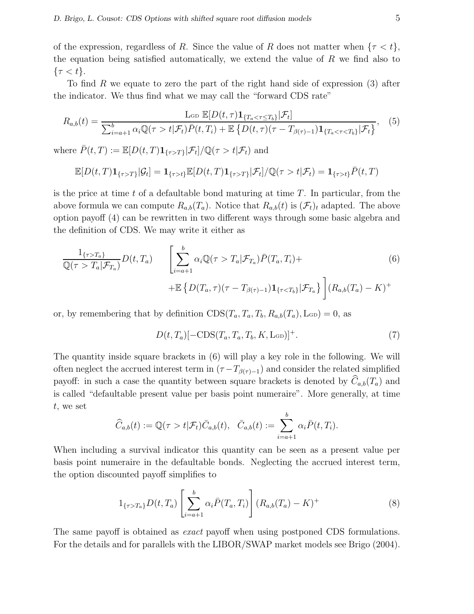of the expression, regardless of R. Since the value of R does not matter when  $\{\tau < t\}$ , the equation being satisfied automatically, we extend the value of  $R$  we find also to  $\{\tau < t\}.$ 

To find R we equate to zero the part of the right hand side of expression (3) after the indicator. We thus find what we may call the "forward CDS rate"

$$
R_{a,b}(t) = \frac{\operatorname{Lop} \mathbb{E}[D(t,\tau)\mathbf{1}_{\{T_a < \tau \le T_b\}}|\mathcal{F}_t]}{\sum_{i=a+1}^b \alpha_i \mathbb{Q}(\tau > t|\mathcal{F}_t)\bar{P}(t,T_i) + \mathbb{E}\left\{D(t,\tau)(\tau - T_{\beta(\tau)-1})\mathbf{1}_{\{T_a < \tau < T_b\}}|\mathcal{F}_t\right\}},\tag{5}
$$

where  $\bar{P}(t,T) := \mathbb{E}[D(t,T) \mathbf{1}_{\{\tau>T\}} | \mathcal{F}_t] / \mathbb{Q}(\tau > t | \mathcal{F}_t)$  and

$$
\mathbb{E}[D(t,T)\mathbf{1}_{\{\tau>T\}}|\mathcal{G}_t] = \mathbf{1}_{\{\tau>t\}}\mathbb{E}[D(t,T)\mathbf{1}_{\{\tau>T\}}|\mathcal{F}_t]/\mathbb{Q}(\tau>t|\mathcal{F}_t) = \mathbf{1}_{\{\tau>t\}}\bar{P}(t,T)
$$

is the price at time t of a defaultable bond maturing at time  $T$ . In particular, from the above formula we can compute  $R_{a,b}(T_a)$ . Notice that  $R_{a,b}(t)$  is  $(\mathcal{F}_t)_t$  adapted. The above option payoff (4) can be rewritten in two different ways through some basic algebra and the definition of CDS. We may write it either as

$$
\frac{1_{\{\tau>T_a\}}}{\mathbb{Q}(\tau>T_a|\mathcal{F}_{T_a})}D(t,T_a) \qquad \left[\sum_{i=a+1}^b \alpha_i \mathbb{Q}(\tau>T_a|\mathcal{F}_{T_a})\bar{P}(T_a,T_i) + \mathbb{E}\left\{D(T_a,\tau)(\tau-T_{\beta(\tau)-1})\mathbf{1}_{\{\tau\n(6)
$$

or, by remembering that by definition  $CDS(T_a, T_a, T_b, R_{a,b}(T_a), L_{GD}) = 0$ , as

 $D(t, T_a)$ [-CDS( $T_a, T_a, T_b, K, \text{L}_{GD}$ ]<sup>+</sup>. (7)

The quantity inside square brackets in (6) will play a key role in the following. We will often neglect the accrued interest term in  $(\tau - T_{\beta(\tau)-1})$  and consider the related simplified payoff: in such a case the quantity between square brackets is denoted by  $C_{a,b}(T_a)$  and is called "defaultable present value per basis point numeraire". More generally, at time t, we set

$$
\widehat{C}_{a,b}(t) := \mathbb{Q}(\tau > t | \mathcal{F}_t) \overline{C}_{a,b}(t), \quad \overline{C}_{a,b}(t) := \sum_{i=a+1}^{b} \alpha_i \overline{P}(t, T_i).
$$

When including a survival indicator this quantity can be seen as a present value per basis point numeraire in the defaultable bonds. Neglecting the accrued interest term, the option discounted payoff simplifies to

$$
1_{\{\tau > T_a\}} D(t, T_a) \left[ \sum_{i=a+1}^b \alpha_i \bar{P}(T_a, T_i) \right] (R_{a,b}(T_a) - K)^+ \tag{8}
$$

The same payoff is obtained as *exact* payoff when using postponed CDS formulations. For the details and for parallels with the LIBOR/SWAP market models see Brigo (2004).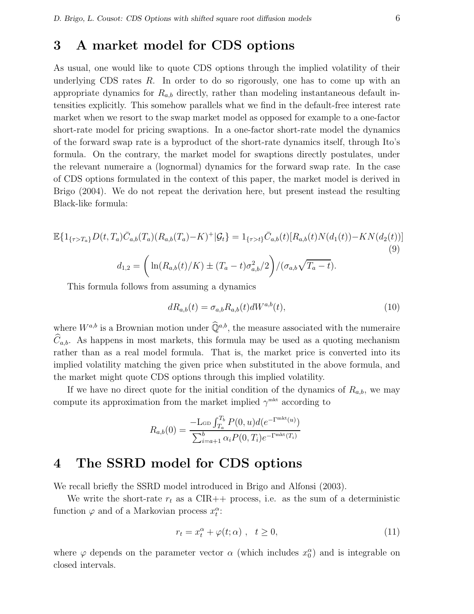# 3 A market model for CDS options

As usual, one would like to quote CDS options through the implied volatility of their underlying CDS rates  $R$ . In order to do so rigorously, one has to come up with an appropriate dynamics for  $R_{a,b}$  directly, rather than modeling instantaneous default intensities explicitly. This somehow parallels what we find in the default-free interest rate market when we resort to the swap market model as opposed for example to a one-factor short-rate model for pricing swaptions. In a one-factor short-rate model the dynamics of the forward swap rate is a byproduct of the short-rate dynamics itself, through Ito's formula. On the contrary, the market model for swaptions directly postulates, under the relevant numeraire a (lognormal) dynamics for the forward swap rate. In the case of CDS options formulated in the context of this paper, the market model is derived in Brigo (2004). We do not repeat the derivation here, but present instead the resulting Black-like formula:

$$
\mathbb{E}\{1_{\{\tau>T_a\}}D(t,T_a)\bar{C}_{a,b}(T_a)(R_{a,b}(T_a)-K)^{+}|\mathcal{G}_t\} = 1_{\{\tau>t\}}\bar{C}_{a,b}(t)[R_{a,b}(t)N(d_1(t)) - KN(d_2(t))]
$$
\n
$$
d_{1,2} = \left(\ln(R_{a,b}(t)/K) \pm (T_a - t)\sigma_{a,b}^2/2\right) / (\sigma_{a,b}\sqrt{T_a - t}).
$$
\n(9)

This formula follows from assuming a dynamics

$$
dR_{a,b}(t) = \sigma_{a,b}R_{a,b}(t)dW^{a,b}(t),\tag{10}
$$

where  $W^{a,b}$  is a Brownian motion under  $\widehat{\mathbb{Q}}^{a,b}$ , the measure associated with the numeraire  $\widehat{C}_{a,b}$ . As happens in most markets, this formula may be used as a quoting mechanism rather than as a real model formula. That is, the market price is converted into its implied volatility matching the given price when substituted in the above formula, and the market might quote CDS options through this implied volatility.

If we have no direct quote for the initial condition of the dynamics of  $R_{a,b}$ , we may compute its approximation from the market implied  $\gamma^{\text{mkt}}$  according to

$$
R_{a,b}(0) = \frac{-L_{\text{GD}} \int_{T_a}^{T_b} P(0, u) d(e^{-\Gamma^{\text{mkt}}(u)})}{\sum_{i=a+1}^{b} \alpha_i P(0, T_i) e^{-\Gamma^{\text{mkt}}(T_i)}}
$$

# 4 The SSRD model for CDS options

We recall briefly the SSRD model introduced in Brigo and Alfonsi (2003).

We write the short-rate  $r_t$  as a CIR++ process, i.e. as the sum of a deterministic function  $\varphi$  and of a Markovian process  $x_i^{\alpha}$ :

$$
r_t = x_t^{\alpha} + \varphi(t; \alpha) , \quad t \ge 0,
$$
\n(11)

where  $\varphi$  depends on the parameter vector  $\alpha$  (which includes  $x_0^{\alpha}$ ) and is integrable on closed intervals.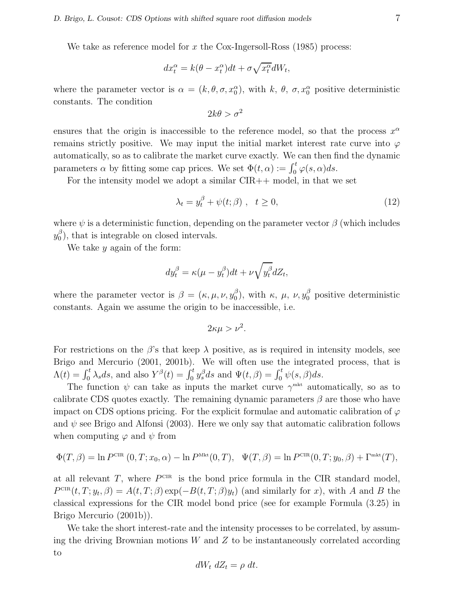We take as reference model for x the Cox-Ingersoll-Ross  $(1985)$  process:

$$
dx_t^{\alpha} = k(\theta - x_t^{\alpha})dt + \sigma \sqrt{x_t^{\alpha}}dW_t,
$$

where the parameter vector is  $\alpha = (k, \theta, \sigma, x_0^{\alpha})$ , with k,  $\theta$ ,  $\sigma, x_0^{\alpha}$  positive deterministic constants. The condition

$$
2k\theta > \sigma^2
$$

ensures that the origin is inaccessible to the reference model, so that the process  $x^{\alpha}$ remains strictly positive. We may input the initial market interest rate curve into  $\varphi$ automatically, so as to calibrate the market curve exactly. We can then find the dynamic parameters  $\alpha$  by fitting some cap prices. We set  $\Phi(t, \alpha) := \int_0^t \varphi(s, \alpha) ds$ .

For the intensity model we adopt a similar  $CIR++$  model, in that we set

$$
\lambda_t = y_t^{\beta} + \psi(t; \beta) , \quad t \ge 0,
$$
\n(12)

where  $\psi$  is a deterministic function, depending on the parameter vector  $\beta$  (which includes  $y_0^\beta$  $\binom{p}{0}$ , that is integrable on closed intervals.

We take  $y$  again of the form:

$$
dy_t^{\beta} = \kappa(\mu - y_t^{\beta})dt + \nu \sqrt{y_t^{\beta}}dZ_t,
$$

where the parameter vector is  $\beta = (\kappa, \mu, \nu, y_0^{\beta})$  $\binom{β}{0}$ , with κ, μ, ν,  $y_0^β$  positive deterministic constants. Again we assume the origin to be inaccessible, i.e.

$$
2\kappa\mu > \nu^2.
$$

For restrictions on the  $\beta$ 's that keep  $\lambda$  positive, as is required in intensity models, see Brigo and Mercurio (2001, 2001b). We will often use the integrated process, that is  $\Lambda(t) = \int_0^t \lambda_s ds$ , and also  $Y^{\beta}(t) = \int_0^t y_s^{\beta} ds$  and  $\Psi(t, \beta) = \int_0^t \psi(s, \beta) ds$ .

The function  $\psi$  can take as inputs the market curve  $\gamma^{\text{mkt}}$  automatically, so as to calibrate CDS quotes exactly. The remaining dynamic parameters  $\beta$  are those who have impact on CDS options pricing. For the explicit formulae and automatic calibration of  $\varphi$ and  $\psi$  see Brigo and Alfonsi (2003). Here we only say that automatic calibration follows when computing  $\varphi$  and  $\psi$  from

$$
\Phi(T,\beta) = \ln P^{\text{CIR}}(0,T;x_0,\alpha) - \ln P^{\text{Mkt}}(0,T), \quad \Psi(T,\beta) = \ln P^{\text{CIR}}(0,T;y_0,\beta) + \Gamma^{\text{mkt}}(T),
$$

at all relevant  $T$ , where  $P^{\text{CIR}}$  is the bond price formula in the CIR standard model,  $P^{\text{CIR}}(t, T; y_t, \beta) = A(t, T; \beta) \exp(-B(t, T; \beta)y_t)$  (and similarly for x), with A and B the classical expressions for the CIR model bond price (see for example Formula (3.25) in Brigo Mercurio (2001b)).

We take the short interest-rate and the intensity processes to be correlated, by assuming the driving Brownian motions  $W$  and  $Z$  to be instantaneously correlated according to

$$
dW_t \, dZ_t = \rho \, dt.
$$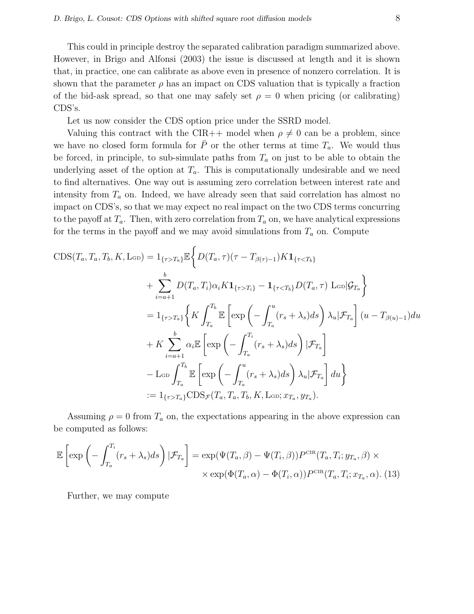This could in principle destroy the separated calibration paradigm summarized above. However, in Brigo and Alfonsi (2003) the issue is discussed at length and it is shown that, in practice, one can calibrate as above even in presence of nonzero correlation. It is shown that the parameter  $\rho$  has an impact on CDS valuation that is typically a fraction of the bid-ask spread, so that one may safely set  $\rho = 0$  when pricing (or calibrating) CDS's.

Let us now consider the CDS option price under the SSRD model.

Valuing this contract with the CIR++ model when  $\rho \neq 0$  can be a problem, since we have no closed form formula for  $\overline{P}$  or the other terms at time  $T_a$ . We would thus be forced, in principle, to sub-simulate paths from  $T_a$  on just to be able to obtain the underlying asset of the option at  $T_a$ . This is computationally undesirable and we need to find alternatives. One way out is assuming zero correlation between interest rate and intensity from  $T_a$  on. Indeed, we have already seen that said correlation has almost no impact on CDS's, so that we may expect no real impact on the two CDS terms concurring to the payoff at  $T_a$ . Then, with zero correlation from  $T_a$  on, we have analytical expressions for the terms in the payoff and we may avoid simulations from  $T_a$  on. Compute

$$
CDS(T_a, T_a, T_b, K, \text{LGD}) = 1_{\{\tau > T_a\}} \mathbb{E} \Bigg\{ D(T_a, \tau) (\tau - T_{\beta(\tau)-1}) K \mathbf{1}_{\{\tau < T_b\}} + \sum_{i=a+1}^{b} D(T_a, T_i) \alpha_i K \mathbf{1}_{\{\tau > T_i\}} - \mathbf{1}_{\{\tau < T_b\}} D(T_a, \tau) \text{ } \text{LGD} | \mathcal{G}_{T_a} \Bigg\} = 1_{\{\tau > T_a\}} \Bigg\{ K \int_{T_a}^{T_b} \mathbb{E} \left[ \exp \left( - \int_{T_a}^u (r_s + \lambda_s) ds \right) \lambda_u | \mathcal{F}_{T_a} \right] (u - T_{\beta(u)-1}) du + K \sum_{i=a+1}^{b} \alpha_i \mathbb{E} \left[ \exp \left( - \int_{T_a}^{T_i} (r_s + \lambda_s) ds \right) | \mathcal{F}_{T_a} \right] - \text{LGD} \int_{T_a}^{T_b} \mathbb{E} \left[ \exp \left( - \int_{T_a}^u (r_s + \lambda_s) ds \right) \lambda_u | \mathcal{F}_{T_a} \right] du \Bigg\} := 1_{\{\tau > T_a\}} CDS_{\mathcal{F}}(T_a, T_a, T_b, K, \text{LGD}; x_{T_a}, y_{T_a}).
$$

Assuming  $\rho = 0$  from  $T_a$  on, the expectations appearing in the above expression can be computed as follows:

$$
\mathbb{E}\left[\exp\left(-\int_{T_a}^{T_i} (r_s + \lambda_s)ds\right) | \mathcal{F}_{T_a}\right] = \exp(\Psi(T_a, \beta) - \Psi(T_i, \beta))P^{\text{CIR}}(T_a, T_i; y_{T_a}, \beta) \times \\ \times \exp(\Phi(T_a, \alpha) - \Phi(T_i, \alpha))P^{\text{CIR}}(T_a, T_i; x_{T_a}, \alpha). (13)
$$

Further, we may compute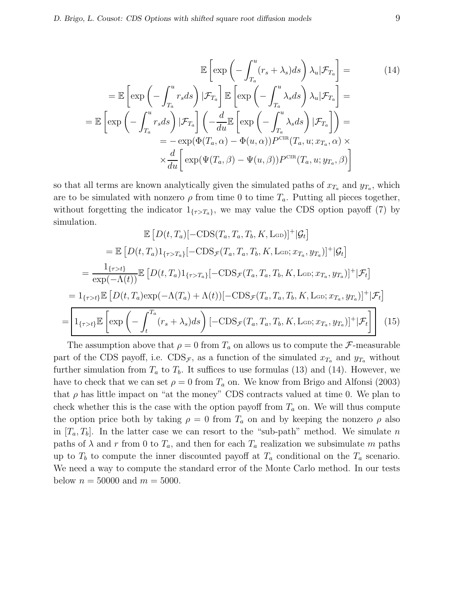$$
\mathbb{E}\left[\exp\left(-\int_{T_a}^u (r_s + \lambda_s)ds\right)\lambda_u|\mathcal{F}_{T_a}\right] =
$$
\n
$$
= \mathbb{E}\left[\exp\left(-\int_{T_a}^u r_s ds\right)|\mathcal{F}_{T_a}\right]\mathbb{E}\left[\exp\left(-\int_{T_a}^u \lambda_s ds\right)\lambda_u|\mathcal{F}_{T_a}\right] =
$$
\n
$$
= \mathbb{E}\left[\exp\left(-\int_{T_a}^u r_s ds\right)|\mathcal{F}_{T_a}\right]\left(-\frac{d}{du}\mathbb{E}\left[\exp\left(-\int_{T_a}^u \lambda_s ds\right)|\mathcal{F}_{T_a}\right]\right) =
$$
\n
$$
= -\exp(\Phi(T_a, \alpha) - \Phi(u, \alpha))P^{\text{CIR}}(T_a, u; x_{T_a}, \alpha) \times
$$
\n
$$
\times \frac{d}{du}\left[\exp(\Psi(T_a, \beta) - \Psi(u, \beta))P^{\text{CIR}}(T_a, u; y_{T_a}, \beta)\right]
$$
\n(14)

so that all terms are known analytically given the simulated paths of  $x_{T_a}$  and  $y_{T_a}$ , which are to be simulated with nonzero  $\rho$  from time 0 to time  $T_a$ . Putting all pieces together, without forgetting the indicator  $1_{\{\tau>T_a\}}$ , we may value the CDS option payoff (7) by simulation.

$$
\mathbb{E}\left[D(t,T_a)[-CDS(T_a,T_a,T_b,K,L_{GD})]^+|\mathcal{G}_t\right]
$$
\n
$$
= \mathbb{E}\left[D(t,T_a)\mathbb{1}_{\{\tau>T_a\}}[-CDS_{\mathcal{F}}(T_a,T_a,T_b,K,L_{GD};x_{T_a},y_{T_a})]^+|\mathcal{G}_t\right]
$$
\n
$$
= \frac{\mathbb{1}_{\{\tau>t\}}}{\exp(-\Lambda(t))}\mathbb{E}\left[D(t,T_a)\mathbb{1}_{\{\tau>T_a\}}[-CDS_{\mathcal{F}}(T_a,T_a,T_b,K,L_{GD};x_{T_a},y_{T_a})]^+|\mathcal{F}_t\right]
$$
\n
$$
= \mathbb{1}_{\{\tau>t\}}\mathbb{E}\left[D(t,T_a)\exp(-\Lambda(T_a)+\Lambda(t))[-CDS_{\mathcal{F}}(T_a,T_a,T_b,K,L_{GD};x_{T_a},y_{T_a})]^+|\mathcal{F}_t\right]
$$
\n
$$
= \boxed{\mathbb{1}_{\{\tau>t\}}\mathbb{E}\left[\exp\left(-\int_t^{T_a}(r_s+\lambda_s)ds\right)[-CDS_{\mathcal{F}}(T_a,T_a,T_b,K,L_{GD};x_{T_a},y_{T_a})]^+|\mathcal{F}_t\right]}
$$
(15)

The assumption above that  $\rho = 0$  from  $T_a$  on allows us to compute the F-measurable part of the CDS payoff, i.e.  $CDS_{\mathcal{F}}$ , as a function of the simulated  $x_{T_a}$  and  $y_{T_a}$  without further simulation from  $T_a$  to  $T_b$ . It suffices to use formulas (13) and (14). However, we have to check that we can set  $\rho = 0$  from  $T_a$  on. We know from Brigo and Alfonsi (2003) that  $\rho$  has little impact on "at the money" CDS contracts valued at time 0. We plan to check whether this is the case with the option payoff from  $T_a$  on. We will thus compute the option price both by taking  $\rho = 0$  from  $T_a$  on and by keeping the nonzero  $\rho$  also in  $[T_a, T_b]$ . In the latter case we can resort to the "sub-path" method. We simulate n paths of  $\lambda$  and r from 0 to  $T_a$ , and then for each  $T_a$  realization we subsimulate m paths up to  $T_b$  to compute the inner discounted payoff at  $T_a$  conditional on the  $T_a$  scenario. We need a way to compute the standard error of the Monte Carlo method. In our tests below  $n = 50000$  and  $m = 5000$ .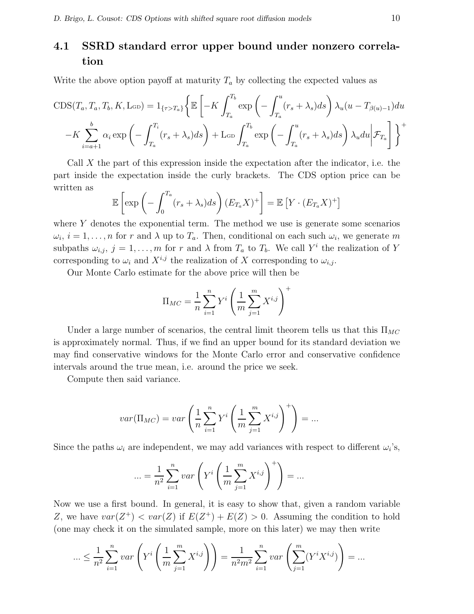# 4.1 SSRD standard error upper bound under nonzero correlation

Write the above option payoff at maturity  $T_a$  by collecting the expected values as

$$
CDS(T_a, T_a, T_b, K, \text{L}_{GD}) = 1_{\{\tau > T_a\}} \left\{ \mathbb{E} \left[ -K \int_{T_a}^{T_b} \exp \left( -\int_{T_a}^u (r_s + \lambda_s) ds \right) \lambda_u (u - T_{\beta(u)-1}) du \right. \\ \left. -K \sum_{i=a+1}^b \alpha_i \exp \left( -\int_{T_a}^{T_i} (r_s + \lambda_s) ds \right) + \text{L}_{GD} \int_{T_a}^{T_b} \exp \left( -\int_{T_a}^u (r_s + \lambda_s) ds \right) \lambda_u du \middle| \mathcal{F}_{T_a} \right] \right\}^+
$$

Call  $X$  the part of this expression inside the expectation after the indicator, i.e. the part inside the expectation inside the curly brackets. The CDS option price can be written as

$$
\mathbb{E}\left[\exp\left(-\int_0^{T_a}(r_s+\lambda_s)ds\right)(E_{T_a}X)^+\right]=\mathbb{E}\left[Y\cdot(E_{T_a}X)^+\right]
$$

where  $Y$  denotes the exponential term. The method we use is generate some scenarios  $\omega_i, i = 1, \ldots, n$  for r and  $\lambda$  up to  $T_a$ . Then, conditional on each such  $\omega_i$ , we generate m subpaths  $\omega_{i,j}, j = 1, \ldots, m$  for r and  $\lambda$  from  $T_a$  to  $T_b$ . We call  $Y^i$  the realization of Y corresponding to  $\omega_i$  and  $X^{i,j}$  the realization of X corresponding to  $\omega_{i,j}$ .

Our Monte Carlo estimate for the above price will then be

$$
\Pi_{MC} = \frac{1}{n} \sum_{i=1}^{n} Y^i \left( \frac{1}{m} \sum_{j=1}^{m} X^{i,j} \right)^+
$$

Under a large number of scenarios, the central limit theorem tells us that this  $\Pi_{MC}$ is approximately normal. Thus, if we find an upper bound for its standard deviation we may find conservative windows for the Monte Carlo error and conservative confidence intervals around the true mean, i.e. around the price we seek.

Compute then said variance.

$$
var(\Pi_{MC}) = var\left(\frac{1}{n}\sum_{i=1}^n Y^i \left(\frac{1}{m}\sum_{j=1}^m X^{i,j}\right)^+\right) = \dots
$$

Since the paths  $\omega_i$  are independent, we may add variances with respect to different  $\omega_i$ 's,

$$
\dots = \frac{1}{n^2} \sum_{i=1}^n var \left( Y^i \left( \frac{1}{m} \sum_{j=1}^m X^{i,j} \right)^+ \right) = \dots
$$

Now we use a first bound. In general, it is easy to show that, given a random variable Z, we have  $var(Z^+) < var(Z)$  if  $E(Z^+) + E(Z) > 0$ . Assuming the condition to hold (one may check it on the simulated sample, more on this later) we may then write

$$
\dots \leq \frac{1}{n^2} \sum_{i=1}^n var\left(Y^i \left(\frac{1}{m} \sum_{j=1}^m X^{i,j}\right)\right) = \frac{1}{n^2 m^2} \sum_{i=1}^n var\left(\sum_{j=1}^m (Y^i X^{i,j})\right) = \dots
$$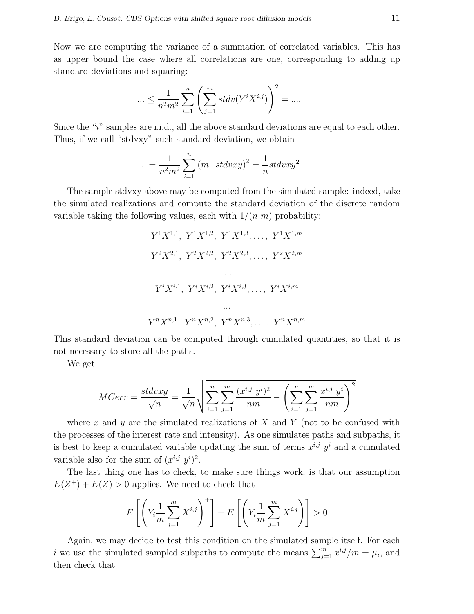Now we are computing the variance of a summation of correlated variables. This has as upper bound the case where all correlations are one, corresponding to adding up standard deviations and squaring:

$$
\dots \leq \frac{1}{n^2 m^2} \sum_{i=1}^n \left( \sum_{j=1}^m stdv(Y^i X^{i,j}) \right)^2 = \dots
$$

Since the " $i$ " samples are i.i.d., all the above standard deviations are equal to each other. Thus, if we call "stdvxy" such standard deviation, we obtain

$$
\ldots = \frac{1}{n^2 m^2} \sum_{i=1}^n (m \cdot stdvxy)^2 = \frac{1}{n} stdvxy^2
$$

The sample stdvxy above may be computed from the simulated sample: indeed, take the simulated realizations and compute the standard deviation of the discrete random variable taking the following values, each with  $1/(n \, m)$  probability:

$$
Y^{1}X^{1,1}, Y^{1}X^{1,2}, Y^{1}X^{1,3}, \ldots, Y^{1}X^{1,m}
$$

$$
Y^{2}X^{2,1}, Y^{2}X^{2,2}, Y^{2}X^{2,3}, \ldots, Y^{2}X^{2,m}
$$

$$
\cdots
$$

$$
Y^{i}X^{i,1}, Y^{i}X^{i,2}, Y^{i}X^{i,3}, \ldots, Y^{i}X^{i,m}
$$

$$
\cdots
$$

$$
Y^{n}X^{n,1}, Y^{n}X^{n,2}, Y^{n}X^{n,3}, \ldots, Y^{n}X^{n,m}
$$

This standard deviation can be computed through cumulated quantities, so that it is not necessary to store all the paths.

We get

$$
MCorr = \frac{stdvxy}{\sqrt{n}} = \frac{1}{\sqrt{n}} \sqrt{\sum_{i=1}^{n} \sum_{j=1}^{m} \frac{(x^{i,j} \ y^{i})^2}{nm}} - \left(\sum_{i=1}^{n} \sum_{j=1}^{m} \frac{x^{i,j} \ y^{i}}{nm}\right)^2
$$

where x and y are the simulated realizations of X and Y (not to be confused with the processes of the interest rate and intensity). As one simulates paths and subpaths, it is best to keep a cumulated variable updating the sum of terms  $x^{i,j}$   $y^i$  and a cumulated variable also for the sum of  $(x^{i,j}, y^i)^2$ .

The last thing one has to check, to make sure things work, is that our assumption  $E(Z^+) + E(Z) > 0$  applies. We need to check that

$$
E\left[\left(Y_i\frac{1}{m}\sum_{j=1}^m X^{i,j}\right)^+\right] + E\left[\left(Y_i\frac{1}{m}\sum_{j=1}^m X^{i,j}\right)\right] > 0
$$

Again, we may decide to test this condition on the simulated sample itself. For each *i* we use the simulated sampled subpaths to compute the means  $\sum_{j=1}^{m} x^{i,j}/m = \mu_i$ , and then check that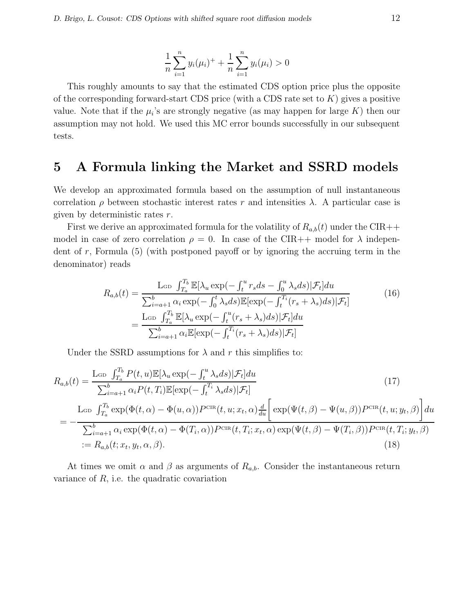$$
\frac{1}{n}\sum_{i=1}^{n}y_i(\mu_i)^+ + \frac{1}{n}\sum_{i=1}^{n}y_i(\mu_i) > 0
$$

This roughly amounts to say that the estimated CDS option price plus the opposite of the corresponding forward-start CDS price (with a CDS rate set to  $K$ ) gives a positive value. Note that if the  $\mu_i$ 's are strongly negative (as may happen for large K) then our assumption may not hold. We used this MC error bounds successfully in our subsequent tests.

# 5 A Formula linking the Market and SSRD models

We develop an approximated formula based on the assumption of null instantaneous correlation  $\rho$  between stochastic interest rates r and intensities  $\lambda$ . A particular case is given by deterministic rates r.

First we derive an approximated formula for the volatility of  $R_{a,b}(t)$  under the CIR++ model in case of zero correlation  $\rho = 0$ . In case of the CIR++ model for  $\lambda$  independent of r, Formula  $(5)$  (with postponed payoff or by ignoring the accruing term in the denominator) reads

$$
R_{a,b}(t) = \frac{\text{L}_{GD} \int_{T_a}^{T_b} \mathbb{E}[\lambda_u \exp(-\int_t^u r_s ds - \int_0^u \lambda_s ds)|\mathcal{F}_t] du}{\sum_{i=a+1}^b \alpha_i \exp(-\int_0^t \lambda_s ds) \mathbb{E}[\exp(-\int_t^{T_i} (r_s + \lambda_s) ds)|\mathcal{F}_t]} \\
= \frac{\text{L}_{GD} \int_{T_a}^{T_b} \mathbb{E}[\lambda_u \exp(-\int_t^u (r_s + \lambda_s) ds)|\mathcal{F}_t] du}{\sum_{i=a+1}^b \alpha_i \mathbb{E}[\exp(-\int_t^{T_i} (r_s + \lambda_s) ds)|\mathcal{F}_t]} \tag{16}
$$

Under the SSRD assumptions for  $\lambda$  and r this simplifies to:

$$
R_{a,b}(t) = \frac{\text{L}_{GD} \int_{T_a}^{T_b} P(t, u) \mathbb{E}[\lambda_u \exp(-\int_t^u \lambda_s ds)|\mathcal{F}_t] du}{\sum_{i=a+1}^b \alpha_i P(t, T_i) \mathbb{E}[\exp(-\int_t^{T_i} \lambda_s ds)|\mathcal{F}_t]} \tag{17}
$$
  

$$
= -\frac{\text{L}_{GD} \int_{T_a}^{T_b} \exp(\Phi(t, \alpha) - \Phi(u, \alpha)) P^{\text{CIR}}(t, u; x_t, \alpha) \frac{d}{du} \left[ \exp(\Psi(t, \beta) - \Psi(u, \beta)) P^{\text{CIR}}(t, u; y_t, \beta) \right] du}{\sum_{i=a+1}^b \alpha_i \exp(\Phi(t, \alpha) - \Phi(T_i, \alpha)) P^{\text{CIR}}(t, T_i; x_t, \alpha) \exp(\Psi(t, \beta) - \Psi(T_i, \beta)) P^{\text{CIR}}(t, T_i; y_t, \beta)}
$$
  

$$
:= R_{a,b}(t; x_t, y_t, \alpha, \beta).
$$
 (18)

At times we omit  $\alpha$  and  $\beta$  as arguments of  $R_{a,b}$ . Consider the instantaneous return variance of  $R$ , i.e. the quadratic covariation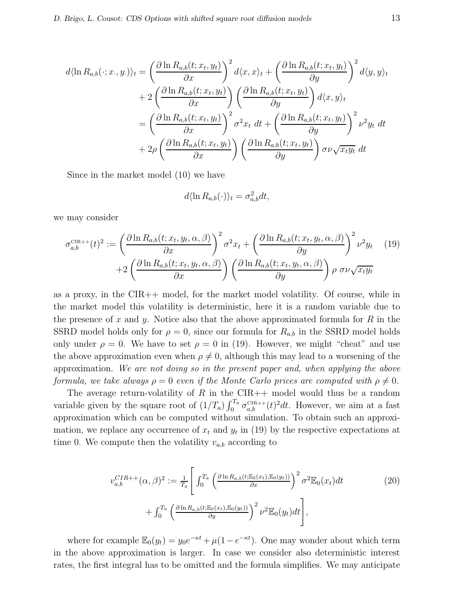$$
d\langle \ln R_{a,b}(\cdot; x, y) \rangle_t = \left(\frac{\partial \ln R_{a,b}(t; x_t, y_t)}{\partial x}\right)^2 d\langle x, x \rangle_t + \left(\frac{\partial \ln R_{a,b}(t; x_t, y_t)}{\partial y}\right)^2 d\langle y, y \rangle_t
$$
  
+ 
$$
2\left(\frac{\partial \ln R_{a,b}(t; x_t, y_t)}{\partial x}\right) \left(\frac{\partial \ln R_{a,b}(t; x_t, y_t)}{\partial y}\right) d\langle x, y \rangle_t
$$
  
= 
$$
\left(\frac{\partial \ln R_{a,b}(t; x_t, y_t)}{\partial x}\right)^2 \sigma^2 x_t dt + \left(\frac{\partial \ln R_{a,b}(t; x_t, y_t)}{\partial y}\right)^2 \nu^2 y_t dt
$$
  
+ 
$$
2\rho \left(\frac{\partial \ln R_{a,b}(t; x_t, y_t)}{\partial x}\right) \left(\frac{\partial \ln R_{a,b}(t; x_t, y_t)}{\partial y}\right) \sigma \nu \sqrt{x_t y_t} dt
$$

Since in the market model (10) we have

$$
d\langle \ln R_{a,b}(\cdot)\rangle_t = \sigma_{a,b}^2 dt,
$$

we may consider

$$
\sigma_{a,b}^{\text{CIR++}}(t)^2 := \left(\frac{\partial \ln R_{a,b}(t; x_t, y_t, \alpha, \beta)}{\partial x}\right)^2 \sigma^2 x_t + \left(\frac{\partial \ln R_{a,b}(t; x_t, y_t, \alpha, \beta)}{\partial y}\right)^2 \nu^2 y_t \tag{19}
$$

$$
+ 2\left(\frac{\partial \ln R_{a,b}(t; x_t, y_t, \alpha, \beta)}{\partial x}\right) \left(\frac{\partial \ln R_{a,b}(t; x_t, y_t, \alpha, \beta)}{\partial y}\right) \rho \sigma \nu \sqrt{x_t y_t}
$$

as a proxy, in the CIR++ model, for the market model volatility. Of course, while in the market model this volatility is deterministic, here it is a random variable due to the presence of x and y. Notice also that the above approximated formula for  $R$  in the SSRD model holds only for  $\rho = 0$ , since our formula for  $R_{a,b}$  in the SSRD model holds only under  $\rho = 0$ . We have to set  $\rho = 0$  in (19). However, we might "cheat" and use the above approximation even when  $\rho \neq 0$ , although this may lead to a worsening of the approximation. We are not doing so in the present paper and, when applying the above formula, we take always  $\rho = 0$  even if the Monte Carlo prices are computed with  $\rho \neq 0$ .

The average return-volatility of  $R$  in the CIR++ model would thus be a random variable given by the square root of  $(1/T_a) \int_0^{T_a} \sigma_{a,b}^{\text{CIR++}}(t)^2 dt$ . However, we aim at a fast approximation which can be computed without simulation. To obtain such an approximation, we replace any occurrence of  $x_t$  and  $y_t$  in (19) by the respective expectations at time 0. We compute then the volatility  $v_{a,b}$  according to

$$
v_{a,b}^{CIR++}(\alpha,\beta)^2 := \frac{1}{T_a} \left[ \int_0^{T_a} \left( \frac{\partial \ln R_{a,b}(t; \mathbb{E}_0(x_t), \mathbb{E}_0(y_t))}{\partial x} \right)^2 \sigma^2 \mathbb{E}_0(x_t) dt \right. \\ \left. + \int_0^{T_a} \left( \frac{\partial \ln R_{a,b}(t; \mathbb{E}_0(x_t), \mathbb{E}_0(y_t))}{\partial y} \right)^2 \nu^2 \mathbb{E}_0(y_t) dt \right],
$$
 (20)

where for example  $\mathbb{E}_0(y_t) = y_0 e^{-\kappa t} + \mu(1 - e^{-\kappa t})$ . One may wonder about which term in the above approximation is larger. In case we consider also deterministic interest rates, the first integral has to be omitted and the formula simplifies. We may anticipate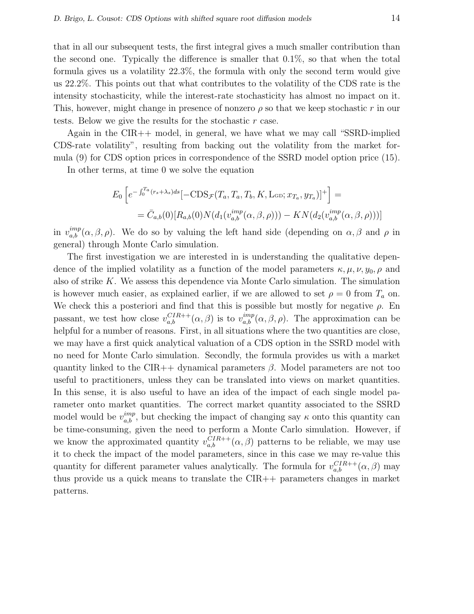that in all our subsequent tests, the first integral gives a much smaller contribution than the second one. Typically the difference is smaller that 0.1%, so that when the total formula gives us a volatility 22.3%, the formula with only the second term would give us 22.2%. This points out that what contributes to the volatility of the CDS rate is the intensity stochasticity, while the interest-rate stochasticity has almost no impact on it. This, however, might change in presence of nonzero  $\rho$  so that we keep stochastic r in our tests. Below we give the results for the stochastic r case.

Again in the CIR++ model, in general, we have what we may call "SSRD-implied CDS-rate volatility", resulting from backing out the volatility from the market formula (9) for CDS option prices in correspondence of the SSRD model option price (15).

In other terms, at time 0 we solve the equation

$$
E_0 \left[ e^{-\int_0^{T_a} (r_s + \lambda_s) ds} [-\text{CDS}_{\mathcal{F}}(T_a, T_a, T_b, K, \text{L}_{\text{GD}}; x_{T_a}, y_{T_a})]^+ \right] =
$$
  
=  $\bar{C}_{a,b}(0) [R_{a,b}(0) N(d_1(v_{a,b}^{imp}(\alpha, \beta, \rho))) - KN(d_2(v_{a,b}^{imp}(\alpha, \beta, \rho)))]$ 

in  $v_{a,b}^{imp}(\alpha,\beta,\rho)$ . We do so by valuing the left hand side (depending on  $\alpha,\beta$  and  $\rho$  in general) through Monte Carlo simulation.

The first investigation we are interested in is understanding the qualitative dependence of the implied volatility as a function of the model parameters  $\kappa, \mu, \nu, y_0, \rho$  and also of strike K. We assess this dependence via Monte Carlo simulation. The simulation is however much easier, as explained earlier, if we are allowed to set  $\rho = 0$  from  $T_a$  on. We check this a posteriori and find that this is possible but mostly for negative  $\rho$ . En passant, we test how close  $v_{a,b}^{CIR++}(\alpha,\beta)$  is to  $v_{a,b}^{imp}(\alpha,\beta,\rho)$ . The approximation can be helpful for a number of reasons. First, in all situations where the two quantities are close, we may have a first quick analytical valuation of a CDS option in the SSRD model with no need for Monte Carlo simulation. Secondly, the formula provides us with a market quantity linked to the CIR++ dynamical parameters  $\beta$ . Model parameters are not too useful to practitioners, unless they can be translated into views on market quantities. In this sense, it is also useful to have an idea of the impact of each single model parameter onto market quantities. The correct market quantity associated to the SSRD model would be  $v_{a,b}^{imp}$ , but checking the impact of changing say  $\kappa$  onto this quantity can be time-consuming, given the need to perform a Monte Carlo simulation. However, if we know the approximated quantity  $v_{a,b}^{CIR++}(\alpha,\beta)$  patterns to be reliable, we may use it to check the impact of the model parameters, since in this case we may re-value this quantity for different parameter values analytically. The formula for  $v_{a,b}^{CIR++}(\alpha,\beta)$  may thus provide us a quick means to translate the CIR++ parameters changes in market patterns.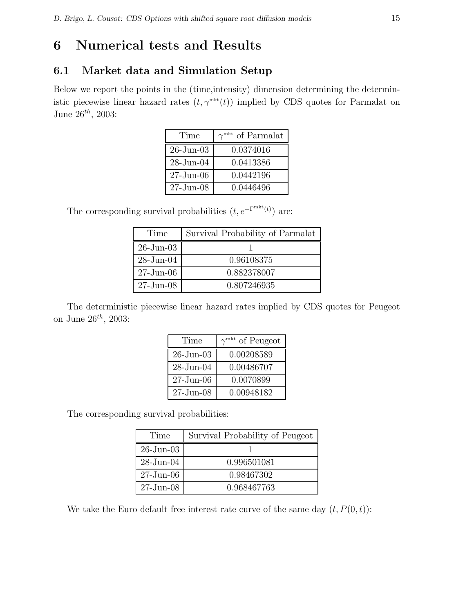# 6 Numerical tests and Results

## 6.1 Market data and Simulation Setup

Below we report the points in the (time,intensity) dimension determining the deterministic piecewise linear hazard rates  $(t, \gamma^{mkt}(t))$  implied by CDS quotes for Parmalat on June  $26^{th}$ , 2003:

| Time            | $\gamma^{\text{mkt}}$ of Parmalat |
|-----------------|-----------------------------------|
| $26$ -Jun-03    | 0.0374016                         |
| $28$ -Jun- $04$ | 0.0413386                         |
| $27 - Jun-06$   | 0.0442196                         |
| $27 - Jun-08$   | 0.0446496                         |

The corresponding survival probabilities  $(t, e^{-\Gamma^{mkt}(t)})$  are:

| Time          | Survival Probability of Parmalat |
|---------------|----------------------------------|
| $26$ -Jun-03  |                                  |
| $28$ -Jun-04  | 0.96108375                       |
| $27 - Jun-06$ | 0.882378007                      |
| $27 - Jun-08$ | 0.807246935                      |

The deterministic piecewise linear hazard rates implied by CDS quotes for Peugeot on June  $26^{th}$ , 2003:

| Time            | $\gamma^{\text{mkt}}$ of Peugeot |
|-----------------|----------------------------------|
| $26$ -Jun-03    | 0.00208589                       |
| $28$ -Jun- $04$ | 0.00486707                       |
| $27 - Jun-06$   | 0.0070899                        |
| $27 - Jun-08$   | 0.00948182                       |

The corresponding survival probabilities:

| Time          | Survival Probability of Peugeot |
|---------------|---------------------------------|
| $26$ -Jun-03  |                                 |
| $28$ -Jun-04  | 0.996501081                     |
| $27 - Jun-06$ | 0.98467302                      |
| $27 - Jun-08$ | 0.968467763                     |

We take the Euro default free interest rate curve of the same day  $(t, P(0, t))$ :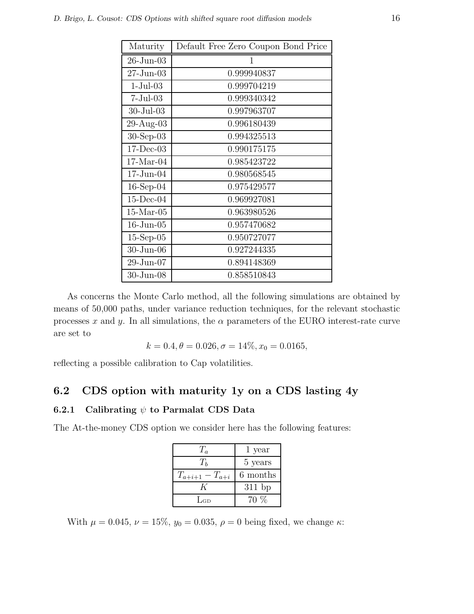| Maturity             | Default Free Zero Coupon Bond Price |
|----------------------|-------------------------------------|
| $26$ -Jun- $03$      | 1                                   |
| $27 - Jun-03$        | 0.999940837                         |
| $1-Jul-03$           | 0.999704219                         |
| $7-Jul-03$           | 0.999340342                         |
| $30 - \text{Jul}-03$ | 0.997963707                         |
| $29-Aug-03$          | 0.996180439                         |
| $30-Sep-03$          | 0.994325513                         |
| $17 - Dec-03$        | 0.990175175                         |
| $17-Mar-04$          | 0.985423722                         |
| $17$ -Jun- $04$      | 0.980568545                         |
| $16$ -Sep-04         | 0.975429577                         |
| $15$ -Dec-04         | 0.969927081                         |
| $15$ -Mar-05         | 0.963980526                         |
| $16$ -Jun- $05$      | 0.957470682                         |
| $15$ -Sep-05         | 0.950727077                         |
| $30$ -Jun- $06$      | 0.927244335                         |
| $29$ -Jun-07         | 0.894148369                         |
| $30 - Jun-08$        | 0.858510843                         |

As concerns the Monte Carlo method, all the following simulations are obtained by means of 50,000 paths, under variance reduction techniques, for the relevant stochastic processes x and y. In all simulations, the  $\alpha$  parameters of the EURO interest-rate curve are set to

$$
k = 0.4, \theta = 0.026, \sigma = 14\%, x_0 = 0.0165,
$$

reflecting a possible calibration to Cap volatilities.

## 6.2 CDS option with maturity 1y on a CDS lasting 4y

#### 6.2.1 Calibrating  $\psi$  to Parmalat CDS Data

The At-the-money CDS option we consider here has the following features:

| $T_a$                 | 1 year   |  |
|-----------------------|----------|--|
| $T_h$                 | 5 years  |  |
| $T_{a+i+1} - T_{a+i}$ | 6 months |  |
|                       | $311$ bp |  |
| LGD                   | $70\%$   |  |

With  $\mu = 0.045$ ,  $\nu = 15\%$ ,  $y_0 = 0.035$ ,  $\rho = 0$  being fixed, we change  $\kappa$ :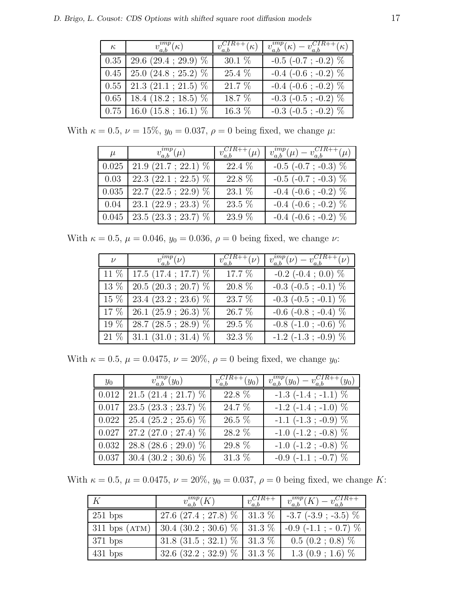| $\kappa$ | $v_{a,b}^{imp}(\kappa)$                       | $v_{a,b}^{CIR++}(\kappa)$ | $v_{a,b}^{imp}(\kappa)-v_{a,b}^{CIR++}(\kappa)$ |
|----------|-----------------------------------------------|---------------------------|-------------------------------------------------|
|          | $0.35 \mid 29.6 \; (29.4 \; ; \; 29.9) \; \%$ | $30.1~\%$                 | $-0.5$ ( $-0.7$ ; $-0.2$ ) $\%$                 |
|          | $0.45$   25.0 (24.8; 25.2) $\%$               | 25.4 %                    | $-0.4$ ( $-0.6$ ; $-0.2$ ) $\%$                 |
|          | $0.55$   21.3 (21.1; 21.5) $%$                | 21.7 %                    | $-0.4$ ( $-0.6$ ; $-0.2$ ) $\%$                 |
|          | $0.65$   18.4 (18.2; 18.5) $%$                | 18.7 %                    | $-0.3$ ( $-0.5$ ; $-0.2$ ) $\%$                 |
|          | $0.75$   16.0 (15.8; 16.1) $\%$               | 16.3 %                    | $-0.3$ ( $-0.5$ ; $-0.2$ ) $\%$                 |

With  $\kappa = 0.5$ ,  $\nu = 15\%$ ,  $y_0 = 0.037$ ,  $\rho = 0$  being fixed, we change  $\mu$ :

| $\mu$ | $v_{a,b}^{imp}(\mu)$                  | $v_{a,b}^{CIR++}(\mu)$ | $v_{a,b}^{imp}(\mu) - v_{a,b}^{CIR++}(\mu)$ |
|-------|---------------------------------------|------------------------|---------------------------------------------|
| 0.025 | $21.9(21.7; 22.1)$ %                  | 22.4 %                 | $-0.5$ ( $-0.7$ ; $-0.3$ ) $%$              |
|       | $\vert 0.03 \vert 22.3(22.1; 22.5)$ % | 22.8 %                 | $-0.5$ ( $-0.7$ ; $-0.3$ ) $\%$             |
| 0.035 | 22.7 (22.5; 22.9) $%$                 | 23.1 %                 | $-0.4$ ( $-0.6$ ; $-0.2$ ) $%$              |
|       | $0.04$   23.1 (22.9; 23.3) $%$        | 23.5 %                 | $-0.4$ ( $-0.6$ ; $-0.2$ ) $\%$             |
| 0.045 | $23.5(23.3; 23.7)$ %                  | 23.9 %                 | $-0.4$ ( $-0.6$ ; $-0.2$ ) $%$              |

With  $\kappa = 0.5$ ,  $\mu = 0.046$ ,  $y_0 = 0.036$ ,  $\rho = 0$  being fixed, we change  $\nu$ :

| $\nu$ $v_{a,b}^{imp}(\nu)$      | $v_{a,b}^{CIR++}(\nu)$ | $v_{a,b}^{imp}(\nu) - v_{a,b}^{CIR++}(\nu)$ |
|---------------------------------|------------------------|---------------------------------------------|
| $11\%$   17.5 (17.4; 17.7) $\%$ | 17.7 %                 | $-0.2$ ( $-0.4$ ; 0.0) $%$                  |
| $13\%$   20.5 (20.3; 20.7) $\%$ | $20.8\%$               | $-0.3$ ( $-0.5$ ; $-0.1$ ) $%$              |
| $15\%$   23.4 (23.2; 23.6) $\%$ | 23.7 %                 | $-0.3$ ( $-0.5$ ; $-0.1$ ) $%$              |
| $17\%$   26.1 (25.9; 26.3) $\%$ | 26.7 %                 | $-0.6$ ( $-0.8$ ; $-0.4$ ) $%$              |
| $19\%$   28.7 (28.5; 28.9) $\%$ | $29.5~\%$              | $-0.8$ ( $-1.0$ ; $-0.6$ ) $\%$             |
| $21\%$   31.1 (31.0; 31.4) $\%$ | $32.3~\%$              | $-1.2$ ( $-1.3$ ; $-0.9$ ) $\%$             |

With  $\kappa = 0.5$ ,  $\mu = 0.0475$ ,  $\nu = 20\%$ ,  $\rho = 0$  being fixed, we change  $y_0$ :

| $y_0$ | $v_{a,b}^{imp}(y_0)$                           | $v_{a,b}^{CIR++}(y_0)$ | $v_{a,b}^{imp}(y_0) - v_{a,b}^{CIR++}(y_0)$ |
|-------|------------------------------------------------|------------------------|---------------------------------------------|
|       | $0.012$   21.5 (21.4; 21.7) $%$                | 22.8 %                 | $-1.3$ $(-1.4; -1.1)$ %                     |
|       | $0.017 \mid 23.5 \; (23.3 \; ; \; 23.7) \; \%$ | 24.7 %                 | $-1.2$ ( $-1.4$ ; $-1.0$ ) $%$              |
|       | $0.022$   25.4 (25.2; 25.6) $%$                | 26.5 %                 | $-1.1$ ( $-1.3$ ; $-0.9$ ) $\%$             |
|       | $0.027$   27.2 (27.0; 27.4) $%$                | 28.2 %                 | $-1.0$ ( $-1.2$ ; $-0.8$ ) $\%$             |
|       | $\boxed{0.032}$   28.8 (28.6; 29.0) $\%$       | 29.8 %                 | $-1.0$ ( $-1.2$ ; $-0.8$ ) $\%$             |
|       | $\boxed{0.037}$   30.4 (30.2; 30.6) $\%$       | 31.3 %                 | $-0.9$ ( $-1.1$ ; $-0.7$ ) $%$              |

With  $\kappa = 0.5, \mu = 0.0475, \nu = 20\%, y_0 = 0.037, \rho = 0$  being fixed, we change K:

|                   | $v_{a,b}^{imp}(K)$                 | $\begin{array}{c} \sqrt{CIR}++\\ \sqrt{a_{\cdot}b} \end{array}$ | $v_{a,b}^{imp}(K) - v_{a,b}^{CIR++}$ |
|-------------------|------------------------------------|-----------------------------------------------------------------|--------------------------------------|
| $251$ bps         | 27.6 (27.4; 27.8) $\%$   31.3 $\%$ |                                                                 | $-3.7$ ( $-3.9$ ; $-3.5$ ) $\%$      |
| $311$ bps $(ATM)$ | $30.4~(30.2~;~30.6)~\%$   31.3 %   |                                                                 | $-0.9$ ( $-1.1$ ; $-0.7$ ) $\%$      |
| $371$ bps         | $31.8(31.5; 32.1)\%$ 31.3 %        |                                                                 | $0.5$ $(0.2; 0.8)$ %                 |
| $431$ bps         | $32.6$ $(32.2; 32.9)$ % $  31.3$ % |                                                                 | $1.3(0.9; 1.6)$ %                    |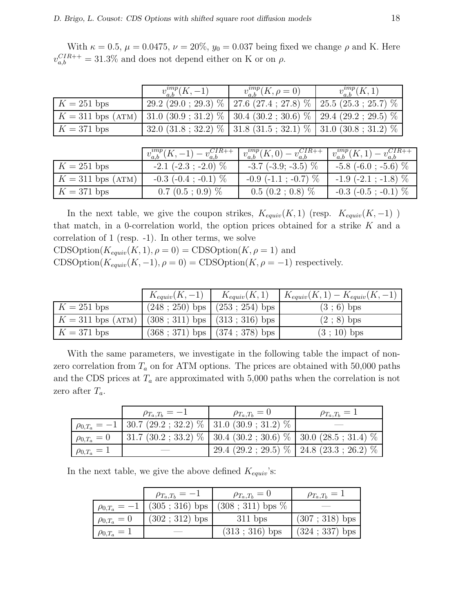With  $\kappa = 0.5$ ,  $\mu = 0.0475$ ,  $\nu = 20\%$ ,  $y_0 = 0.037$  being fixed we change  $\rho$  and K. Here  $v_{a,b}^{CIR++} = 31.3\%$  and does not depend either on K or on  $\rho$ .

|                     | $v_{a,b}^{imp}(K,-1)$                   | $v_{a,b}^{ump}(K, \rho = 0)$         | $v_{a,b}^{imp}(K,1)$                 |
|---------------------|-----------------------------------------|--------------------------------------|--------------------------------------|
| $K = 251$ bps       | $29.2$ (29.0; 29.3) $%$                 | $\overline{27.6}$ (27.4; 27.8) $\%$  | $25.5(25.3; 25.7)$ %                 |
| $K = 311$ bps (ATM) | 31.0 $(30.9; 31.2)$ %                   | $30.4$ $(30.2; 30.6)$ %              | $29.4(29.2; 29.5)$ %                 |
| $K = 371$ bps       | 32.0 $(31.8; 32.2)$ %                   | $31.8(31.5; 32.1)$ %                 | 31.0 $(30.8 ; 31.2)$ %               |
|                     |                                         |                                      |                                      |
|                     | $v_{a,b}^{imp}(K,-1) - v_{a,b}^{CIR++}$ | $v_{a,b}^{imp}(K,0)-v_{a,b}^{CIR++}$ | $v_{a,b}^{imp}(K,1)-v_{a,b}^{CIR++}$ |
| $K = 251$ bps       | $-2.1$ ( $-2.3$ ; $-2.0$ ) $\%$         | $-3.7$ $(-3.9; -3.5)$ %              | $-5.8$ (-6.0; -5.6) $\%$             |
| $K = 311$ bps (ATM) | $-0.3$ ( $-0.4$ ; $-0.1$ ) $\%$         | $-0.9$ ( $-1.1$ ; $-0.7$ ) $\%$      | $-1.9$ ( $-2.1$ ; $-1.8$ ) $\%$      |
| $K = 371$ bps       | $0.7(0.5:0.9)$ %                        | $0.5(0.2; 0.8)$ %                    | $-0.3$ ( $-0.5$ ; $-0.1$ ) $\%$      |

In the next table, we give the coupon strikes,  $K_{equiv}(K, 1)$  (resp.  $K_{equiv}(K, -1)$ ) that match, in a 0-correlation world, the option prices obtained for a strike  $K$  and a correlation of 1 (resp. -1). In other terms, we solve  $CDSOption(K_{equiv}(K, 1), \rho = 0) = CDSOption(K, \rho = 1)$  and CDSOption( $K_{equiv}(K, -1), \rho = 0$ ) = CDSOption( $K, \rho = -1$ ) respectively.

|                     | $K_{equiv}(K, -1)$ $K_{equiv}(K, 1)$ |                                     | $K_{equiv}(K,1) - K_{equiv}(K,-1)$ |
|---------------------|--------------------------------------|-------------------------------------|------------------------------------|
| $K = 251$ bps       |                                      | $(248 ; 250)$ bps $(253 ; 254)$ bps | $(3; 6)$ bps                       |
| $K = 311$ bps (ATM) | $(308; 311)$ bps $(313; 316)$ bps    |                                     | $(2; 8)$ bps                       |
| $K = 371$ bps       |                                      | $(368; 371)$ bps $(374; 378)$ bps   | $(3; 10)$ bps                      |

With the same parameters, we investigate in the following table the impact of nonzero correlation from  $T_a$  on for ATM options. The prices are obtained with 50,000 paths and the CDS prices at  $T_a$  are approximated with 5,000 paths when the correlation is not zero after  $T_a$ .

|                    | $\rho_{T_a,T_b}=-1$                                               | $\rho_{T_a,T_b}=0$                                                | $\rho_{T_a,T_b}=1$                        |
|--------------------|-------------------------------------------------------------------|-------------------------------------------------------------------|-------------------------------------------|
|                    | $\rho_{0,T_a} = -1$   30.7 (29.2 ; 32.2) %   31.0 (30.9 ; 31.2) % |                                                                   |                                           |
| $\rho_{0,T_a}=0$   |                                                                   | 31.7 $(30.2; 33.2)$ % 30.4 $(30.2; 30.6)$ % 30.0 $(28.5; 31.4)$ % |                                           |
| $\rho_{0,T_a} = 1$ |                                                                   |                                                                   | $29.4(29.2; 29.5) \%$ 24.8 (23.3; 26.2) % |

In the next table, we give the above defined  $K_{equiv}$ 's:

|                    | $\rho_{T_a,T_b}=-1$ | $\rho_{T_a,T_b}=0$                                                                                       | $\rho_{T_a,T_b}=1$ |
|--------------------|---------------------|----------------------------------------------------------------------------------------------------------|--------------------|
|                    |                     | $\mid \rho_{0,T_a} = -1 \mid (305 \; ; \; 316) \; \text{bps} \mid (308 \; ; \; 311) \; \text{bps} \; \%$ |                    |
| $\rho_{0,T_a} = 0$ | $(302; 312)$ bps    | $311$ bps                                                                                                | $(307; 318)$ bps   |
| $\rho_{0,T_a} = 1$ |                     | $(313; 316)$ bps                                                                                         | $(324 ; 337)$ bps  |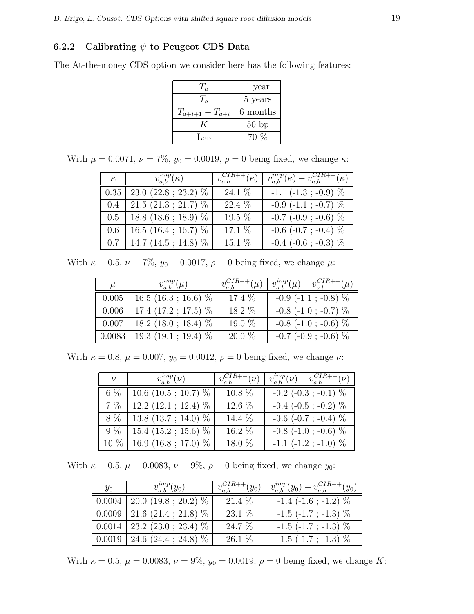#### 6.2.2 Calibrating  $\psi$  to Peugeot CDS Data

The At-the-money CDS option we consider here has the following features:

|                       | 1 year   |
|-----------------------|----------|
| $T_h$                 | 5 years  |
| $T_{a+i+1} - T_{a+i}$ | 6 months |
| K                     | 50bp     |
| $\rm La$              | $70\%$   |

With  $\mu = 0.0071$ ,  $\nu = 7\%$ ,  $y_0 = 0.0019$ ,  $\rho = 0$  being fixed, we change  $\kappa$ :

| $\kappa$ | $v_{a,b}^{imp}(\kappa)$                       | $v_{a,b}^{CIR++}(\kappa)$ | $v_{a,b}^{imp}(\kappa)-v_{a,b}^{CIR++}(\kappa)$ |
|----------|-----------------------------------------------|---------------------------|-------------------------------------------------|
|          | $0.35 \mid 23.0 \; (22.8 \; ; \; 23.2) \; \%$ | 24.1 %                    | $-1.1$ ( $-1.3$ ; $-0.9$ ) $\%$                 |
| 0.4      | $21.5(21.3; 21.7)$ %                          | 22.4 %                    | $-0.9$ ( $-1.1$ ; $-0.7$ ) $%$                  |
|          | $0.5$   18.8 (18.6; 18.9) $\%$                | 19.5 %                    | $-0.7$ ( $-0.9$ ; $-0.6$ ) $%$                  |
| 0.6      | 16.5 (16.4; 16.7) $%$                         | 17.1 %                    | $-0.6$ ( $-0.7$ ; $-0.4$ ) $%$                  |
|          | $0.7$   14.7 (14.5; 14.8) $\%$                | 15.1 %                    | $-0.4$ ( $-0.6$ ; $-0.3$ ) $%$                  |

With  $\kappa = 0.5$ ,  $\nu = 7\%$ ,  $y_0 = 0.0017$ ,  $\rho = 0$  being fixed, we change  $\mu$ :

| $\mu$ | $v_{a,b}^{imp}(\mu)$             | $v_{a,b}^{CIR++}(\overline{\mu})$ | $v_{a,b}^{imp}(\mu) - v_{a,b}^{CIR++}(\mu)$ |
|-------|----------------------------------|-----------------------------------|---------------------------------------------|
| 0.005 | $16.5$ $(16.3 ; 16.6)$ %         | 17.4 %                            | $-0.9$ ( $-1.1$ ; $-0.8$ ) $\%$             |
| 0.006 | 17.4 $(17.2; 17.5)$ %            | 18.2 %                            | $-0.8$ ( $-1.0$ ; $-0.7$ ) $\%$             |
| 0.007 | 18.2 (18.0; 18.4) $\%$           | 19.0 %                            | $-0.8$ ( $-1.0$ ; $-0.6$ ) $%$              |
|       | $0.0083$   19.3 (19.1; 19.4) $%$ | $20.0\%$                          | $-0.7$ ( $-0.9$ ; $-0.6$ ) $%$              |

With  $\kappa = 0.8$ ,  $\mu = 0.007$ ,  $y_0 = 0.0012$ ,  $\rho = 0$  being fixed, we change  $\nu$ :

| $\nu$  | $v_{a,b}^{imp}\overline{(\nu)}$ | $v_{a,b}^{CIR++}(\nu)$ | $v_{a,b}^{imp}(\nu) - v_{a,b}^{CIR++}(\nu)$ |
|--------|---------------------------------|------------------------|---------------------------------------------|
| 6 %    | 10.6 (10.5; 10.7) $%$           | 10.8 %                 | $-0.2$ ( $-0.3$ ; $-0.1$ ) $\%$             |
| 7 %    | $12.2(12.1; 12.4)$ %            | 12.6 %                 | $-0.4$ ( $-0.5$ ; $-0.2$ ) $\%$             |
| 8 %    | 13.8 (13.7; 14.0) $\%$          | 14.4 %                 | $-0.6$ ( $-0.7$ ; $-0.4$ ) $\%$             |
| $9\%$  | $15.4$ $(15.2; 15.6)$ %         | 16.2 %                 | $-0.8$ ( $-1.0$ ; $-0.6$ ) $\%$             |
| $10\%$ | 16.9 (16.8; 17.0) $%$           | 18.0 %                 | $-1.1$ $(-1.2$ ; $-1.0$ ) $\%$              |

With  $\kappa = 0.5$ ,  $\mu = 0.0083$ ,  $\nu = 9\%$ ,  $\rho = 0$  being fixed, we change  $y_0$ :

| $y_0$ | $v_{a,b}^{imp}(y_0)$                               | $v_{a,b}^{CIR++}(y_0)$ | $v_{a,b}^{imp}(y_0) - v_{a,b}^{CIR++}(y_0)$ |
|-------|----------------------------------------------------|------------------------|---------------------------------------------|
|       | $0.0004$   20.0 (19.8; 20.2) $\%$                  | $21.4\%$               | $-1.4$ ( $-1.6$ ; $-1.2$ ) $\%$             |
|       | $\vert 0.0009 \vert 21.6 (21.4 ; 21.8) \%$         | $23.1\%$               | $-1.5$ ( $-1.7$ ; $-1.3$ ) $\%$             |
|       | $\vert 0.0014 \vert 23.2 \ (23.0 \ ; \ 23.4) \ \%$ | $24.7\%$               | $-1.5$ ( $-1.7$ ; $-1.3$ ) $\%$             |
|       | $\vert 0.0019 \vert 24.6 (24.4 ; 24.8) \%$         | $26.1\%$               | $-1.5$ ( $-1.7$ ; $-1.3$ ) $\%$             |

With  $\kappa = 0.5$ ,  $\mu = 0.0083$ ,  $\nu = 9\%$ ,  $y_0 = 0.0019$ ,  $\rho = 0$  being fixed, we change K: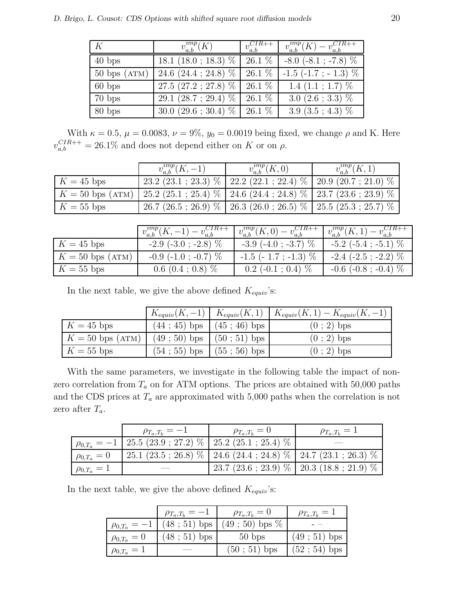| K                      | $v_{a,b}^{imp}(\overline{K})$ | $v_{a,b}^{CIR++}$ | $v_{a,b}^{imp}(K) - v_{a,b}^{CIR++}$ |
|------------------------|-------------------------------|-------------------|--------------------------------------|
| $40$ bps               | 18.1 $(18.0 ; 18.3)$ %        | $26.1\%$          | $-8.0$ ( $-8.1$ ; $-7.8$ ) $\%$      |
| $50 \text{ bps (ATM)}$ | 24.6 $(24.4 ; 24.8)$ %        | $26.1\%$          | $-1.5$ ( $-1.7$ ; $-1.3$ ) $%$       |
| $60$ bps               | $27.5(27.2; 27.8)$ %          | $26.1\%$          | 1.4 $(1.1; 1.7)$ %                   |
| $70$ bps               | 29.1 $(28.7 ; 29.4)$ %        | $26.1\%$          | 3.0 $(2.6 ; 3.3)$ %                  |
| 80 bps                 | 30.0 $(29.6 \div 30.4)$ %     | 26.1 %            | 3.9 $(3.5; 4.3)$ %                   |

With  $\kappa = 0.5$ ,  $\mu = 0.0083$ ,  $\nu = 9\%$ ,  $y_0 = 0.0019$  being fixed, we change  $\rho$  and K. Here  $v_{a,b}^{CIR++} = 26.1\%$  and does not depend either on K or on  $\rho$ .

|              | $v_{a,b}^{imp}(K, -1)$                                                                        | $v_{a,b}^{ump}(K,0)$                                                       | $v_{a,b}^{imp}(K,1)$ |
|--------------|-----------------------------------------------------------------------------------------------|----------------------------------------------------------------------------|----------------------|
| $K = 45$ bps |                                                                                               | $23.2$ (23.1; 23.3) $\%$   22.2 (22.1; 22.4) $\%$   20.9 (20.7; 21.0) $\%$ |                      |
|              | $K = 50$ bps (ATM)   25.2 (25.1; 25.4) $\%$   24.6 (24.4; 24.8) $\%$   23.7 (23.6; 23.9) $\%$ |                                                                            |                      |
| $K=55$ bps   |                                                                                               | $26.7 (26.5; 26.9) \%$   $26.3 (26.0; 26.5) \%$   $25.5 (25.3; 25.7) \%$   |                      |

|                    | $v_{a,b}^{imp}(K, -1) - v_{a,b}^{CIR++}$ | $v_{a,b}^{ump}(K,0)-v_{a,b}^{CIR++}$ | $v_{a,b}^{imp}(K,1)-v_{a,b}^{CIR++}$ |
|--------------------|------------------------------------------|--------------------------------------|--------------------------------------|
| $K = 45$ bps       | $-2.9$ ( $-3.0$ ; $-2.8$ ) $\%$          | $-3.9$ ( $-4.0$ ; $-3.7$ ) $\%$      | $-5.2$ ( $-5.4$ ; $-5.1$ ) $\%$      |
| $K = 50$ bps (ATM) | $-0.9$ ( $-1.0$ ; $-0.7$ ) $\%$          | $-1.5$ ( $-1.7$ ; $-1.3$ ) $\%$      | $-2.4$ ( $-2.5$ ; $-2.2$ ) $\%$      |
| $K = 55$ bps       | $0.6$ $(0.4; 0.8)$ %                     | $0.2$ (-0.1; 0.4) $\%$               | $-0.6$ ( $-0.8$ ; $-0.4$ ) $\%$      |

In the next table, we give the above defined  $K_{equiv}$ 's:

|                    |                                 | $K_{equiv}(K, -1) \mid K_{equiv}(K, 1) \mid K_{equiv}(K, 1) - K_{equiv}(K, -1)$ |
|--------------------|---------------------------------|---------------------------------------------------------------------------------|
| $K = 45$ bps       | $(44:45)$ bps $(45:46)$ bps     | $(0; 2)$ bps                                                                    |
| $K = 50$ bps (ATM) | $(49:50)$ bps $(50:51)$ bps     | $(0; 2)$ bps                                                                    |
| $K = 55$ bps       | $(54 ; 55)$ bps $(55 ; 56)$ bps | $(0; 2)$ bps                                                                    |

With the same parameters, we investigate in the following table the impact of nonzero correlation from  $T_a$  on for ATM options. The prices are obtained with 50,000 paths and the CDS prices at  $T_a$  are approximated with 5,000 paths when the correlation is not zero after  $T_a$ .

|                    | $\rho_{T_a,T_b}=-1$                                                  | $\rho_{T_a,T_b}=0$ | $\rho_{T_a,T_b}=1$                                                       |
|--------------------|----------------------------------------------------------------------|--------------------|--------------------------------------------------------------------------|
|                    | $\varphi_{0,T_a} = -1$   25.5 (23.9 ; 27.2) %   25.2 (25.1 ; 25.4) % |                    |                                                                          |
| $\rho_{0,T_a}=0$   |                                                                      |                    | 25.1 (23.5; 26.8) $\%$   24.6 (24.4; 24.8) $\%$   24.7 (23.1; 26.3) $\%$ |
| $\rho_{0,T_a} = 1$ |                                                                      |                    | 23.7 (23.6; 23.9) $\%$   20.3 (18.8; 21.9) $\%$                          |

In the next table, we give the above defined  $K_{equiv}$ 's:

|                    | $\rho_{T_a,T_b}=-1$ | $\rho_{T_a,T_b}=0$                                | $\rho_{T_a,T_b}=1$ |
|--------------------|---------------------|---------------------------------------------------|--------------------|
|                    |                     | $\rho_{0,T_a} = -1$ (48 ; 51) bps (49 ; 50) bps % |                    |
| $\rho_{0,T_a}=0$   | $(48; 51)$ bps      | $50$ bps                                          | $(49; 51)$ bps     |
| $\rho_{0,T_a} = 1$ |                     | $(50; 51)$ bps                                    | $(52 ; 54)$ bps    |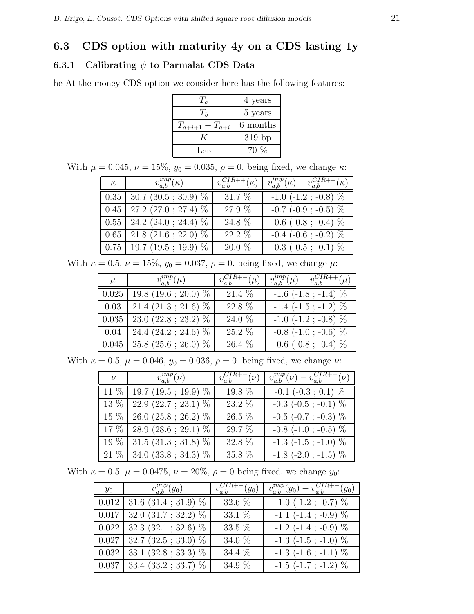## 6.3 CDS option with maturity 4y on a CDS lasting 1y

### 6.3.1 Calibrating  $\psi$  to Parmalat CDS Data

he At-the-money CDS option we consider here has the following features:

| $T_a$                 | 4 years  |
|-----------------------|----------|
| $T_h$                 | 5 years  |
| $T_{a+i+1} - T_{a+i}$ | 6 months |
|                       | $319$ bp |
| $\rm La$              | $70\%$   |
|                       |          |

With  $\mu = 0.045$ ,  $\nu = 15\%$ ,  $y_0 = 0.035$ ,  $\rho = 0$ . being fixed, we change  $\kappa$ :

| $\kappa$ | $v_{a,b}^{imp}(\overline{\kappa)}$ | $v_{a,b}^{CIR+\overline{+}}(\kappa)$ | $v_{a,b}^{imp}(\kappa)-v_{a,b}^{CIR++}(\kappa)$ |
|----------|------------------------------------|--------------------------------------|-------------------------------------------------|
|          | $0.35$   30.7 (30.5; 30.9) $\%$    | 31.7 %                               | $-1.0$ ( $-1.2$ ; $-0.8$ ) $\%$                 |
|          | $0.45$   27.2 (27.0; 27.4) $%$     | 27.9 %                               | $-0.7$ ( $-0.9$ ; $-0.5$ ) $%$                  |
|          | $0.55$   24.2 (24.0; 24.4) $%$     | 24.8 %                               | $-0.6$ ( $-0.8$ ; $-0.4$ ) $%$                  |
|          | $0.65$   21.8 (21.6; 22.0) $%$     | 22.2 %                               | $-0.4$ ( $-0.6$ ; $-0.2$ ) $%$                  |
|          | $0.75$   19.7 (19.5; 19.9) $%$     | 20.0 %                               | $-0.3$ ( $-0.5$ ; $-0.1$ ) $\%$                 |

With  $\kappa = 0.5, \nu = 15\%, y_0 = 0.037, \rho = 0$ . being fixed, we change  $\mu$ :

| $\mu$ | $v_{a,b}^{imp}(\mu)$             | $v_{a,b}^{CIR++}(\mu)$ | $v_{a,b}^{imp}(\mu) - v_{a,b}^{CIR++}(\mu)$ |
|-------|----------------------------------|------------------------|---------------------------------------------|
| 0.025 | $19.8(19.6; 20.0)$ %             | 21.4 %                 | $-1.6$ ( $-1.8$ ; $-1.4$ ) $\%$             |
| 0.03  | $21.4(21.3; 21.6)$ %             | 22.8 %                 | $-1.4$ $(-1.5; -1.2)$ %                     |
| 0.035 | $23.0(22.8; 23.2)$ %             | 24.0 %                 | $-1.0$ ( $-1.2$ ; $-0.8$ ) $\%$             |
| 0.04  | 24.4 $(24.2 ; 24.6)$ %           | 25.2 %                 | $-0.8$ ( $-1.0$ ; $-0.6$ ) $\%$             |
|       | $0.045$   25.8 (25.6; 26.0) $\%$ | 26.4 %                 | $-0.6$ ( $-0.8$ ; $-0.4$ ) $%$              |

With  $\kappa = 0.5$ ,  $\mu = 0.046$ ,  $y_0 = 0.036$ ,  $\rho = 0$ . being fixed, we change  $\nu$ :

| $\nu$ | $v_{a,b}^{imp}(\nu)$                       | $v_{a,b}^{CIR++}(\nu)$ | $v_{a,b}^{imp}(\nu) - v_{a,b}^{CIR++}(\nu)$ |
|-------|--------------------------------------------|------------------------|---------------------------------------------|
|       | $11\%$   19.7 (19.5; 19.9) $\%$            | $19.8\%$               | $-0.1$ $(-0.3; 0.1)$ %                      |
|       | $\overline{13\%}$   22.9 (22.7; 23.1) $\%$ | 23.2 %                 | $-0.3$ ( $-0.5$ ; $-0.1$ ) $\%$             |
|       | $15\%$   26.0 (25.8; 26.2) $\%$            | $26.5~\%$              | $-0.5$ ( $-0.7$ ; $-0.3$ ) $\%$             |
|       | $17\%$   28.9 (28.6; 29.1) $\%$            | 29.7 %                 | $-0.8$ ( $-1.0$ ; $-0.5$ ) $%$              |
|       | $19\%$ 31.5 (31.3; 31.8) $\%$              | $32.8~\%$              | $-1.3$ ( $-1.5$ ; $-1.0$ ) $\%$             |
|       | $21\%$   34.0 (33.8; 34.3) $\%$            | 35.8 %                 | $-1.8$ ( $-2.0$ ; $-1.5$ ) $%$              |

With  $\kappa = 0.5$ ,  $\mu = 0.0475$ ,  $\nu = 20\%$ ,  $\rho = 0$  being fixed, we change  $y_0$ :

| $y_0$ | $v_{a,b}^{imp}(y_0)$                                       | $v_{a,b}^{CIR++}(y_0)$ | $v_{a,b}^{imp}(y_0) - v_{a,b}^{CIR++}(y_0)$ |
|-------|------------------------------------------------------------|------------------------|---------------------------------------------|
|       | $\vert 0.012 \vert 31.6 \ (31.4 \ ; \ 31.9) \ \%$          | 32.6 %                 | $-1.0$ ( $-1.2$ ; $-0.7$ ) $\%$             |
|       | $\boxed{0.017}$ 32.0 (31.7; 32.2) %                        | 33.1 %                 | $-1.1$ ( $-1.4$ ; $-0.9$ ) $%$              |
|       | $\sqrt{0.022}$   32.3 (32.1; 32.6) $\%$                    | 33.5 %                 | $-1.2$ ( $-1.4$ ; $-0.9$ ) $%$              |
|       | $\vert 0.027 \vert 32.7 \vert (32.5 \cdot 33.0) \vert  \%$ | 34.0 %                 | $-1.3$ ( $-1.5$ ; $-1.0$ ) $\%$             |
|       | $\vert 0.032 \vert 33.1 \, (32.8 \, ; \, 33.3) \, \%$      | 34.4 %                 | $-1.3$ ( $-1.6$ ; $-1.1$ ) $%$              |
|       | $\vert 0.037 \vert 33.4 \ (33.2 \ ; \ 33.7) \ \%$          | 34.9 %                 | $-1.5$ ( $-1.7$ ; $-1.2$ ) $%$              |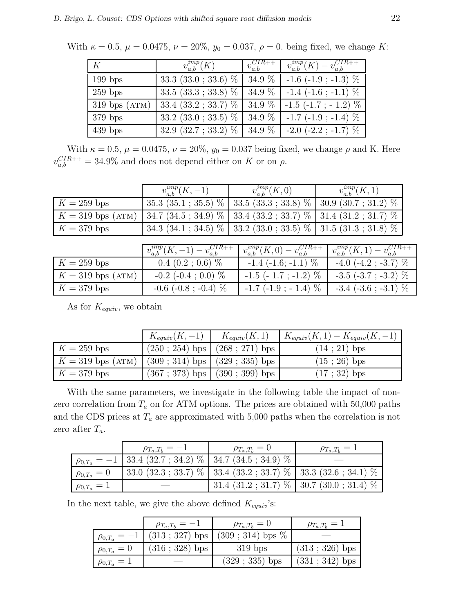With  $\kappa = 0.5$ ,  $\mu = 0.0475$ ,  $\nu = 20\%$ ,  $y_0 = 0.037$ ,  $\rho = 0$ . being fixed, we change K:

| K                 | $v_{a,b}^{imp}(K)$                  | $v_{a,b}^{CIR+\rightarrow}$ | $v_{a,b}^{imp}(K) - v_{a,b}^{CIR++}$ |
|-------------------|-------------------------------------|-----------------------------|--------------------------------------|
| $199$ bps         | 33.3 $(33.0 ; 33.6)$ %              | $34.9\%$                    | $-1.6$ ( $-1.9$ ; $-1.3$ ) $\%$      |
| $259$ bps         | $33.5(33.3; 33.8)$ %                | $34.9\%$                    | $-1.4$ ( $-1.6$ ; $-1.1$ ) $\%$      |
| $319$ bps $(ATM)$ | 33.4 (33.2 ; 33.7) $\%$   34.9 $\%$ |                             | $-1.5$ ( $-1.7$ ; $-1.2$ ) $\%$      |
| $379$ bps         | $33.2$ $(33.0; 33.5)$ %             | 34.9 %                      | $-1.7$ ( $-1.9$ ; $-1.4$ ) $%$       |
| $439$ bps         | $32.9(32.7; 33.2) \%$ 34.9 %        |                             | $-2.0$ ( $-2.2$ ; $-1.7$ ) $\%$      |

With  $\kappa = 0.5$ ,  $\mu = 0.0475$ ,  $\nu = 20\%$ ,  $y_0 = 0.037$  being fixed, we change  $\rho$  and K. Here  $v_{a,b}^{CIR++} = 34.9\%$  and does not depend either on K or on  $\rho$ .

|                     | $v_{a,b}^{imp}(K,-1)$                                                    | $v_{a,b}^{ump}(K,0)$                                                     | $v_{a,b}^{imp}(K,1)$ |
|---------------------|--------------------------------------------------------------------------|--------------------------------------------------------------------------|----------------------|
| $K = 259$ bps       |                                                                          | $35.3(35.1; 35.5)$ % $33.5(33.3; 33.8)$ % $30.9(30.7; 31.2)$ %           |                      |
| $K = 319$ bps (ATM) | 34.7 (34.5; 34.9) $\%$   33.4 (33.2; 33.7) $\%$   31.4 (31.2; 31.7) $\%$ |                                                                          |                      |
| $K = 379$ bps       |                                                                          | 34.3 (34.1; 34.5) $\%$   33.2 (33.0; 33.5) $\%$   31.5 (31.3; 31.8) $\%$ |                      |

|                     | $v_{a,b}^{imp}(K,-1) - v_{a,b}^{CIR++}$ | $\big  v_{a,b}^{imp}(K,0) - v_{a,b}^{CIR++} \big $ | $v_{a,b}^{imp}(K,1) - v_{a,b}^{CIR++}$ |
|---------------------|-----------------------------------------|----------------------------------------------------|----------------------------------------|
| $K = 259$ bps       | $0.4$ $(0.2; 0.6)$ %                    | $-1.4$ ( $-1.6$ ; $-1.1$ ) $\%$                    | $-4.0$ ( $-4.2$ ; $-3.7$ ) $\%$        |
| $K = 319$ bps (ATM) | $-0.2$ ( $-0.4$ ; 0.0) $\%$             | $-1.5$ ( $-1.7$ ; $-1.2$ ) $\%$                    | $-3.5$ ( $-3.7$ ; $-3.2$ ) $\%$        |
| $K = 379$ bps       | $-0.6$ ( $-0.8$ ; $-0.4$ ) $\%$         | $-1.7$ ( $-1.9$ ; $-1.4$ ) $\%$                    | $-3.4$ ( $-3.6$ ; $-3.1$ ) $\%$        |

As for  $K_{equiv}$ , we obtain

|                     | $K_{equiv}(K, -1)$ $K_{equiv}(K, 1)$ |                                     | $K_{equiv}(K,1) - K_{equiv}(K,-1)$ |
|---------------------|--------------------------------------|-------------------------------------|------------------------------------|
| $K = 259$ bps       |                                      | $(250 ; 254)$ bps $(268 ; 271)$ bps | $(14:21)$ bps                      |
| $K = 319$ bps (ATM) | $(309; 314)$ bps $(329; 335)$ bps    |                                     | $(15:26)$ bps                      |
| $K = 379$ bps       |                                      | $(367; 373)$ bps $(390; 399)$ bps   | $(17; 32)$ bps                     |

With the same parameters, we investigate in the following table the impact of nonzero correlation from  $T_a$  on for ATM options. The prices are obtained with 50,000 paths and the CDS prices at  $T_a$  are approximated with 5,000 paths when the correlation is not zero after  $T_a$ .

|                    | $\rho_{T_a,T_b}=-1$                                               | $\rho_{T_a,T_b}=0$ | $\rho_{T_a,T_b}=1$                                                  |
|--------------------|-------------------------------------------------------------------|--------------------|---------------------------------------------------------------------|
|                    | $\rho_{0,T_a} = -1$   33.4 (32.7 ; 34.2) %   34.7 (34.5 ; 34.9) % |                    |                                                                     |
| $\rho_{0,T_a}=0$   |                                                                   |                    | $33.0 (32.3 ; 33.7) \%$   33.4 (33.2; 33.7) %   33.3 (32.6; 34.1) % |
| $\rho_{0,T_a} = 1$ |                                                                   |                    | 31.4 $(31.2; 31.7)$ %   30.7 $(30.0; 31.4)$ %                       |

In the next table, we give the above defined  $K_{equiv}$ 's:

|                     | $\rho_{T_a,T_b}=-1$     | $\rho_{T_a,T_b}=0$                    | $\rho_{T_a,T_b}=1$ |
|---------------------|-------------------------|---------------------------------------|--------------------|
| $\rho_{0,T_a} = -1$ |                         | $(313; 327)$ bps $(309; 314)$ bps $%$ |                    |
| $\rho_{0,T_a} = 0$  | $(316 \; ; \; 328)$ bps | $319$ bps                             | $(313 ; 326)$ bps  |
| $\rho_{0,T_a} = 1$  |                         | $(329 ; 335)$ bps                     | $(331 ; 342)$ bps  |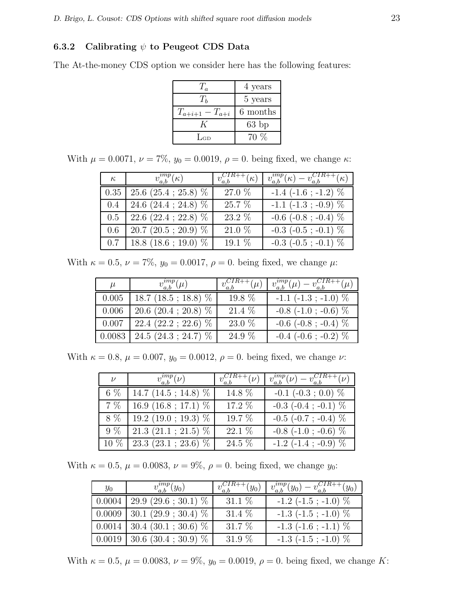#### 6.3.2 Calibrating  $\psi$  to Peugeot CDS Data

The At-the-money CDS option we consider here has the following features:

| $T_a$                 | 4 years  |
|-----------------------|----------|
| $T_h$                 | 5 years  |
| $T_{a+i+1} - T_{a+i}$ | 6 months |
|                       | $63$ bp  |
| LGD                   | 70 %     |

With  $\mu = 0.0071$ ,  $\nu = 7\%$ ,  $y_0 = 0.0019$ ,  $\rho = 0$ . being fixed, we change  $\kappa$ :

| $\kappa$ | $v_{a,b}^{imp}(\kappa)$                       | $v_{a,b}^{CIR++}(\overline{\kappa)}$ | $\overline{v_{a,b}^{imp}}(\kappa)-v_{a,b}^{CIR++}(\kappa)$ |
|----------|-----------------------------------------------|--------------------------------------|------------------------------------------------------------|
|          | $0.35 \mid 25.6 \; (25.4 \; ; \; 25.8) \; \%$ | 27.0 %                               | $-1.4$ ( $-1.6$ ; $-1.2$ ) $%$                             |
| $0.4\,$  | 24.6 $(24.4 ; 24.8)$ %                        | 25.7 %                               | $-1.1$ ( $-1.3$ ; $-0.9$ ) $\%$                            |
|          | $0.5$   22.6 (22.4; 22.8) $\%$                | 23.2 %                               | $-0.6$ ( $-0.8$ ; $-0.4$ ) $\%$                            |
| 0.6      | $20.7$ $(20.5 ; 20.9)$ %                      | 21.0 %                               | $-0.3$ ( $-0.5$ ; $-0.1$ ) $\%$                            |
|          | $0.7$   18.8 (18.6; 19.0) $\%$                | 19.1 %                               | $-0.3$ ( $-0.5$ ; $-0.1$ ) $\%$                            |

With  $\kappa = 0.5$ ,  $\nu = 7\%$ ,  $y_0 = 0.0017$ ,  $\rho = 0$ . being fixed, we change  $\mu$ :

| $\mu$ | $v_{a,b}^{imp}(\mu)$             | $v_{a,b}^{CIR++}(\mu)$ | $v_{a,b}^{imp}(\mu) - v_{a,b}^{CIR++}(\mu)$ |
|-------|----------------------------------|------------------------|---------------------------------------------|
| 0.005 | 18.7 (18.5; 18.8) $%$            | 19.8 %                 | $-1.1$ $(-1.3$ ; $-1.0$ ) $\%$              |
| 0.006 | $20.6$ $(20.4 \div 20.8)$ %      | 21.4 %                 | $-0.8$ ( $-1.0$ ; $-0.6$ ) $\%$             |
| 0.007 | 22.4 $(22.2 ; 22.6)$ %           | 23.0 %                 | $-0.6$ ( $-0.8$ ; $-0.4$ ) $\%$             |
|       | $0.0083$   24.5 (24.3; 24.7) $%$ | 24.9 %                 | $-0.4$ ( $-0.6$ ; $-0.2$ ) $%$              |

With  $\kappa = 0.8$ ,  $\mu = 0.007$ ,  $y_0 = 0.0012$ ,  $\rho = 0$ . being fixed, we change  $\nu$ :

| $\nu$ | $v_{a,b}^{imp}(\nu)$                | $v_{a,b}^{CIR++}(\nu)$ | $v_{a,b}^{imp}(\nu) - v_{a,b}^{CIR++}(\nu)$ |
|-------|-------------------------------------|------------------------|---------------------------------------------|
| 6 %   | $\overline{14.7}$ (14.5; 14.8) $\%$ | 14.8 %                 | $-0.1$ $(-0.3; 0.0)$ %                      |
| 7 %   | 16.9 (16.8; 17.1) $%$               | 17.2 %                 | $-0.3$ ( $-0.4$ ; $-0.1$ ) $\%$             |
| 8 %   | $19.2$ (19.0; 19.3) $%$             | 19.7 %                 | $-0.5$ ( $-0.7$ ; $-0.4$ ) $\%$             |
| $9\%$ | $21.3(21.1; 21.5)$ %                | 22.1 %                 | $-0.8$ ( $-1.0$ ; $-0.6$ ) $\%$             |
|       | $10\%$   23.3 (23.1; 23.6) $\%$     | 24.5 %                 | $-1.2$ ( $-1.4$ ; $-0.9$ ) $\%$             |

With  $\kappa = 0.5, \mu = 0.0083, \nu = 9\%, \rho = 0$ . being fixed, we change  $y_0$ :

| $y_0$ | $v_{a,b}^{ump}(y_0)$                            | $v_{a,b}^{CIR++}(y_0)$ | $v_{a,b}^{ump}(y_0)-v_{a,b}^{CIR++}(y_0)$ |
|-------|-------------------------------------------------|------------------------|-------------------------------------------|
|       | $0.0004$   29.9 (29.6; 30.1) $\%$               | 31.1 $%$               | $-1.2$ ( $-1.5$ ; $-1.0$ ) $\%$           |
|       | $0.0009$   30.1 (29.9; 30.4) $\%$               | $31.4\%$               | $-1.3$ ( $-1.5$ ; $-1.0$ ) $\%$           |
|       | $0.0014$   30.4 (30.1; 30.6) $\%$               | $31.7\%$               | $-1.3$ ( $-1.6$ ; $-1.1$ ) $\%$           |
|       | $0.0019 \mid 30.6 \; (30.4 \; ; \; 30.9) \; \%$ | $31.9\%$               | $-1.3$ ( $-1.5$ ; $-1.0$ ) $\%$           |

With  $\kappa = 0.5$ ,  $\mu = 0.0083$ ,  $\nu = 9\%$ ,  $y_0 = 0.0019$ ,  $\rho = 0$ . being fixed, we change K: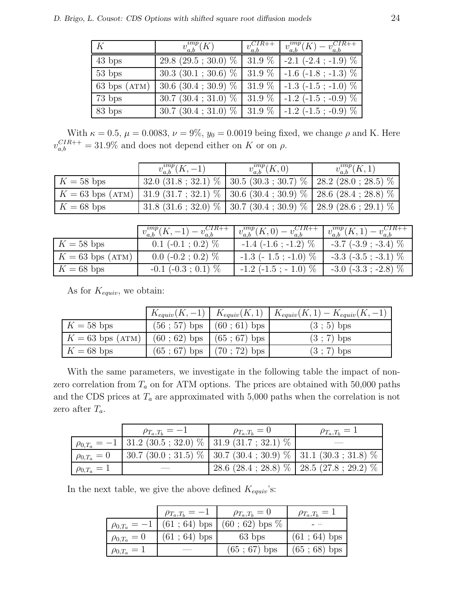| K                      | $v_{a,b}^{imp}(\overline{K})$     | $\frac{1}{v_{a,b}^{CIR++}}$ | $v_{a,b}^{imp}(K) - v_{a,b}^{CIR++}$ |
|------------------------|-----------------------------------|-----------------------------|--------------------------------------|
| $43$ bps               | $29.8(29.5; 30.0)$ %              | 31.9%                       | $-2.1$ ( $-2.4$ ; $-1.9$ ) $%$       |
| $53$ bps               | $30.3(30.1; 30.6)$ %              | $31.9\%$                    | $-1.6$ ( $-1.8$ ; $-1.3$ ) $\%$      |
| $63 \text{ bps (ATM)}$ | $30.6 (30.4 \div 30.9) \%$ 31.9 % |                             | $-1.3$ ( $-1.5$ ; $-1.0$ ) $\%$      |
| 73 bps                 | $30.7(30.4; 31.0)$ %              | 31.9%                       | $-1.2$ ( $-1.5$ ; $-0.9$ ) $\%$      |
| 83 bps                 | $30.7(30.4; 31.0)$ %              | 31.9%                       | $-1.2$ ( $-1.5$ ; $-0.9$ ) $\%$      |

With  $\kappa = 0.5$ ,  $\mu = 0.0083$ ,  $\nu = 9\%$ ,  $y_0 = 0.0019$  being fixed, we change  $\rho$  and K. Here  $v_{a,b}^{CIR++} = 31.9\%$  and does not depend either on K or on  $\rho$ .

|              | $v_{a,b}^{imp}(K,-1)$                                                                         | $v_{a,b}^{ump}(K,0)$                                                              | $v_{a,b}^{imp}(K,1)$ |
|--------------|-----------------------------------------------------------------------------------------------|-----------------------------------------------------------------------------------|----------------------|
| $K = 58$ bps |                                                                                               | 32.0 $(31.8; 32.1)$ % $(30.5 (30.3; 30.7)$ % $(28.2 (28.0; 28.5)$ %               |                      |
|              | $K = 63$ bps (ATM)   31.9 (31.7; 32.1) $\%$   30.6 (30.4; 30.9) $\%$   28.6 (28.4; 28.8) $\%$ |                                                                                   |                      |
| $K = 68$ bps |                                                                                               | 31.8 $(31.6 \t; 32.0) \%$   30.7 $(30.4 \t; 30.9) \%$   28.9 $(28.6 \t; 29.1) \%$ |                      |

|                    | $v_{a,b}^{ump}(K, -1) - v_{a,b}^{CIR++}$ | $v_{a,b}^{imp}(K,0)$ .          | $v_{a,b}^{ump}(K,1)-v_{a,b}^{CIR++}$ |
|--------------------|------------------------------------------|---------------------------------|--------------------------------------|
| $K = 58$ bps       | $0.1$ (-0.1; 0.2) $\%$                   | $-1.4$ (-1.6; -1.2) $\%$        | $-3.7$ ( $-3.9$ ; $-3.4$ ) $\%$      |
| $K = 63$ bps (ATM) | $0.0$ (-0.2; 0.2) $\%$                   | $-1.3$ ( $-1.5$ ; $-1.0$ ) $\%$ | $-3.3$ ( $-3.5$ ; $-3.1$ ) $\%$      |
| $K = 68$ bps       | $-0.1$ ( $-0.3$ ; 0.1) $\%$              | $-1.2$ ( $-1.5$ ; $-1.0$ ) $\%$ | $-3.0$ ( $-3.3$ ; $-2.8$ ) $\%$      |

As for  $K_{equiv}$ , we obtain:

|                    |                               | $K_{equiv}(K, -1) \mid K_{equiv}(K, 1) \mid K_{equiv}(K, 1) - K_{equiv}(K, -1)$ |
|--------------------|-------------------------------|---------------------------------------------------------------------------------|
| $K = 58$ bps       | $(56; 57)$ bps $(60; 61)$ bps | $(3 ; 5)$ bps                                                                   |
| $K = 63$ bps (ATM) | $(60; 62)$ bps $(65; 67)$ bps | $(3; 7)$ bps                                                                    |
| $K = 68$ bps       | $(65; 67)$ bps $(70; 72)$ bps | $(3 ; 7)$ bps                                                                   |

With the same parameters, we investigate in the following table the impact of nonzero correlation from  $T_a$  on for ATM options. The prices are obtained with 50,000 paths and the CDS prices at  $T_a$  are approximated with 5,000 paths when the correlation is not zero after  $T_a$ .

|                    | $\rho_{T_a,T_b}=-1$                                                  | $\rho_{T_a,T_b}=0$ | $\rho_{T_a,T_b}=1$                                                       |
|--------------------|----------------------------------------------------------------------|--------------------|--------------------------------------------------------------------------|
|                    | $\varphi_{0,T_a} = -1$   31.2 (30.5 ; 32.0) %   31.9 (31.7 ; 32.1) % |                    |                                                                          |
| $\rho_{0,T_a} = 0$ |                                                                      |                    | 30.7 (30.0; 31.5) $\%$   30.7 (30.4; 30.9) $\%$   31.1 (30.3; 31.8) $\%$ |
| $\rho_{0,T_a} = 1$ |                                                                      |                    | 28.6 (28.4; 28.8) $\%$   28.5 (27.8; 29.2) $\%$                          |

In the next table, we give the above defined  $K_{equiv}$ 's:

|                  | $\rho_{T_a,T_b}=-1$ | $\rho_{T_a,T_b}=0$                                | $\rho_{T_a,T_b}=1$ |
|------------------|---------------------|---------------------------------------------------|--------------------|
|                  |                     | $\rho_{0,T_a} = -1$ (61 ; 64) bps (60 ; 62) bps % |                    |
| $\rho_{0,T_a}=0$ | $(61; 64)$ bps      | $63$ bps                                          | $(61; 64)$ bps     |
| $\rho_{0,T_a}=1$ |                     | $(65; 67)$ bps                                    | $(65; 68)$ bps     |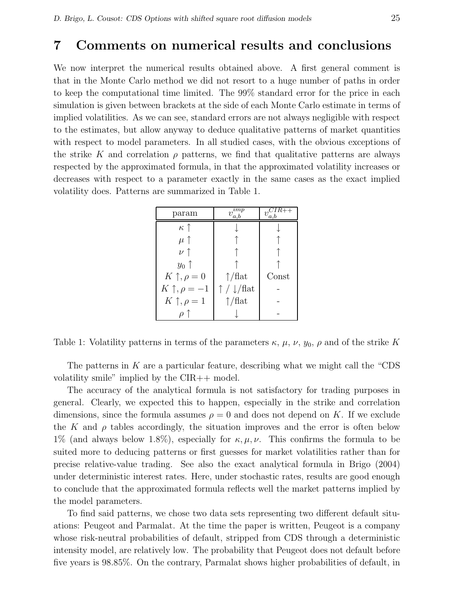## 7 Comments on numerical results and conclusions

We now interpret the numerical results obtained above. A first general comment is that in the Monte Carlo method we did not resort to a huge number of paths in order to keep the computational time limited. The 99% standard error for the price in each simulation is given between brackets at the side of each Monte Carlo estimate in terms of implied volatilities. As we can see, standard errors are not always negligible with respect to the estimates, but allow anyway to deduce qualitative patterns of market quantities with respect to model parameters. In all studied cases, with the obvious exceptions of the strike K and correlation  $\rho$  patterns, we find that qualitative patterns are always respected by the approximated formula, in that the approximated volatility increases or decreases with respect to a parameter exactly in the same cases as the exact implied volatility does. Patterns are summarized in Table 1.

| param                   | $\mu$<br>$\eta$<br>$_{a.b}$     | a.b   |
|-------------------------|---------------------------------|-------|
| $\kappa$ $\uparrow$     |                                 |       |
| $\mu \uparrow$          |                                 |       |
| $\nu \uparrow$          |                                 |       |
| $y_0$ $\uparrow$        |                                 |       |
| $K \uparrow, \rho = 0$  | $\uparrow$ /flat                | Const |
| $K \uparrow, \rho = -1$ | $\uparrow$ / $\downarrow$ /flat |       |
| $K \uparrow, \rho = 1$  | $\uparrow$ /flat                |       |
|                         |                                 |       |

Table 1: Volatility patterns in terms of the parameters  $\kappa$ ,  $\mu$ ,  $\nu$ ,  $y_0$ ,  $\rho$  and of the strike K

The patterns in  $K$  are a particular feature, describing what we might call the "CDS" volatility smile" implied by the CIR++ model.

The accuracy of the analytical formula is not satisfactory for trading purposes in general. Clearly, we expected this to happen, especially in the strike and correlation dimensions, since the formula assumes  $\rho = 0$  and does not depend on K. If we exclude the K and  $\rho$  tables accordingly, the situation improves and the error is often below 1% (and always below 1.8%), especially for  $\kappa, \mu, \nu$ . This confirms the formula to be suited more to deducing patterns or first guesses for market volatilities rather than for precise relative-value trading. See also the exact analytical formula in Brigo (2004) under deterministic interest rates. Here, under stochastic rates, results are good enough to conclude that the approximated formula reflects well the market patterns implied by the model parameters.

To find said patterns, we chose two data sets representing two different default situations: Peugeot and Parmalat. At the time the paper is written, Peugeot is a company whose risk-neutral probabilities of default, stripped from CDS through a deterministic intensity model, are relatively low. The probability that Peugeot does not default before five years is 98.85%. On the contrary, Parmalat shows higher probabilities of default, in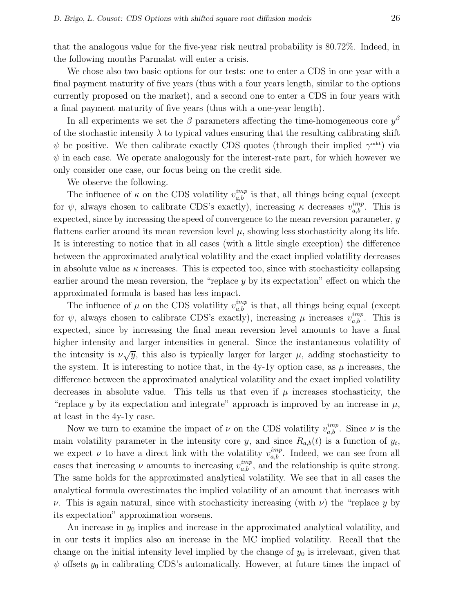that the analogous value for the five-year risk neutral probability is 80.72%. Indeed, in the following months Parmalat will enter a crisis.

We chose also two basic options for our tests: one to enter a CDS in one year with a final payment maturity of five years (thus with a four years length, similar to the options currently proposed on the market), and a second one to enter a CDS in four years with a final payment maturity of five years (thus with a one-year length).

In all experiments we set the  $\beta$  parameters affecting the time-homogeneous core  $y^{\beta}$ of the stochastic intensity  $\lambda$  to typical values ensuring that the resulting calibrating shift  $\psi$  be positive. We then calibrate exactly CDS quotes (through their implied  $\gamma^{\text{mkt}}$ ) via  $\psi$  in each case. We operate analogously for the interest-rate part, for which however we only consider one case, our focus being on the credit side.

We observe the following.

The influence of  $\kappa$  on the CDS volatility  $v_{a,b}^{imp}$  is that, all things being equal (except for  $\psi$ , always chosen to calibrate CDS's exactly), increasing  $\kappa$  decreases  $v_{a,b}^{imp}$ . This is expected, since by increasing the speed of convergence to the mean reversion parameter, y flattens earlier around its mean reversion level  $\mu$ , showing less stochasticity along its life. It is interesting to notice that in all cases (with a little single exception) the difference between the approximated analytical volatility and the exact implied volatility decreases in absolute value as  $\kappa$  increases. This is expected too, since with stochasticity collapsing earlier around the mean reversion, the "replace  $y$  by its expectation" effect on which the approximated formula is based has less impact.

The influence of  $\mu$  on the CDS volatility  $v_{a,b}^{imp}$  is that, all things being equal (except for  $\psi$ , always chosen to calibrate CDS's exactly), increasing  $\mu$  increases  $v_{a,b}^{imp}$ . This is expected, since by increasing the final mean reversion level amounts to have a final higher intensity and larger intensities in general. Since the instantaneous volatility of the intensity is  $\nu\sqrt{y}$ , this also is typically larger for larger  $\mu$ , adding stochasticity to the system. It is interesting to notice that, in the 4y-1y option case, as  $\mu$  increases, the difference between the approximated analytical volatility and the exact implied volatility decreases in absolute value. This tells us that even if  $\mu$  increases stochasticity, the "replace y by its expectation and integrate" approach is improved by an increase in  $\mu$ , at least in the 4y-1y case.

Now we turn to examine the impact of  $\nu$  on the CDS volatility  $v_{a,b}^{imp}$ . Since  $\nu$  is the main volatility parameter in the intensity core y, and since  $R_{a,b}(t)$  is a function of  $y_t$ , we expect  $\nu$  to have a direct link with the volatility  $v_{a,b}^{imp}$ . Indeed, we can see from all cases that increasing  $\nu$  amounts to increasing  $v_{a,b}^{imp}$ , and the relationship is quite strong. The same holds for the approximated analytical volatility. We see that in all cases the analytical formula overestimates the implied volatility of an amount that increases with ν. This is again natural, since with stochasticity increasing (with ν) the "replace y by its expectation" approximation worsens.

An increase in  $y_0$  implies and increase in the approximated analytical volatility, and in our tests it implies also an increase in the MC implied volatility. Recall that the change on the initial intensity level implied by the change of  $y_0$  is irrelevant, given that  $\psi$  offsets  $y_0$  in calibrating CDS's automatically. However, at future times the impact of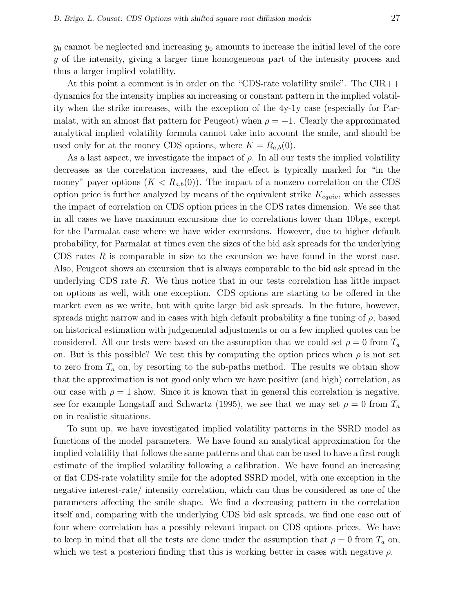$y_0$  cannot be neglected and increasing  $y_0$  amounts to increase the initial level of the core y of the intensity, giving a larger time homogeneous part of the intensity process and thus a larger implied volatility.

At this point a comment is in order on the "CDS-rate volatility smile". The CIR++ dynamics for the intensity implies an increasing or constant pattern in the implied volatility when the strike increases, with the exception of the 4y-1y case (especially for Parmalat, with an almost flat pattern for Peugeot) when  $\rho = -1$ . Clearly the approximated analytical implied volatility formula cannot take into account the smile, and should be used only for at the money CDS options, where  $K = R_{a,b}(0)$ .

As a last aspect, we investigate the impact of  $\rho$ . In all our tests the implied volatility decreases as the correlation increases, and the effect is typically marked for "in the money" payer options  $(K < R_{a,b}(0))$ . The impact of a nonzero correlation on the CDS option price is further analyzed by means of the equivalent strike  $K_{equiv}$ , which assesses the impact of correlation on CDS option prices in the CDS rates dimension. We see that in all cases we have maximum excursions due to correlations lower than 10bps, except for the Parmalat case where we have wider excursions. However, due to higher default probability, for Parmalat at times even the sizes of the bid ask spreads for the underlying CDS rates  $R$  is comparable in size to the excursion we have found in the worst case. Also, Peugeot shows an excursion that is always comparable to the bid ask spread in the underlying CDS rate  $R$ . We thus notice that in our tests correlation has little impact on options as well, with one exception. CDS options are starting to be offered in the market even as we write, but with quite large bid ask spreads. In the future, however, spreads might narrow and in cases with high default probability a fine tuning of  $\rho$ , based on historical estimation with judgemental adjustments or on a few implied quotes can be considered. All our tests were based on the assumption that we could set  $\rho = 0$  from  $T_a$ on. But is this possible? We test this by computing the option prices when  $\rho$  is not set to zero from  $T_a$  on, by resorting to the sub-paths method. The results we obtain show that the approximation is not good only when we have positive (and high) correlation, as our case with  $\rho = 1$  show. Since it is known that in general this correlation is negative, see for example Longstaff and Schwartz (1995), we see that we may set  $\rho = 0$  from  $T_a$ on in realistic situations.

To sum up, we have investigated implied volatility patterns in the SSRD model as functions of the model parameters. We have found an analytical approximation for the implied volatility that follows the same patterns and that can be used to have a first rough estimate of the implied volatility following a calibration. We have found an increasing or flat CDS-rate volatility smile for the adopted SSRD model, with one exception in the negative interest-rate/ intensity correlation, which can thus be considered as one of the parameters affecting the smile shape. We find a decreasing pattern in the correlation itself and, comparing with the underlying CDS bid ask spreads, we find one case out of four where correlation has a possibly relevant impact on CDS options prices. We have to keep in mind that all the tests are done under the assumption that  $\rho = 0$  from  $T_a$  on, which we test a posteriori finding that this is working better in cases with negative  $\rho$ .